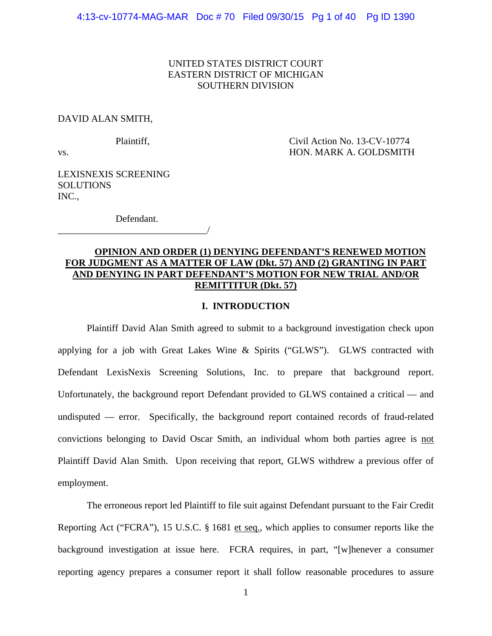# UNITED STATES DISTRICT COURT EASTERN DISTRICT OF MICHIGAN SOUTHERN DIVISION

## DAVID ALAN SMITH,

Plaintiff, Civil Action No. 13-CV-10774 vs. HON. MARK A. GOLDSMITH

LEXISNEXIS SCREENING **SOLUTIONS** INC.,

 Defendant. \_\_\_\_\_\_\_\_\_\_\_\_\_\_\_\_\_\_\_\_\_\_\_\_\_\_\_\_\_\_\_/

# **OPINION AND ORDER (1) DENYING DEFENDANT'S RENEWED MOTION FOR JUDGMENT AS A MATTER OF LAW (Dkt. 57) AND (2) GRANTING IN PART AND DENYING IN PART DEFENDANT'S MOTION FOR NEW TRIAL AND/OR REMITTITUR (Dkt. 57)**

# **I. INTRODUCTION**

 Plaintiff David Alan Smith agreed to submit to a background investigation check upon applying for a job with Great Lakes Wine & Spirits ("GLWS"). GLWS contracted with Defendant LexisNexis Screening Solutions, Inc. to prepare that background report. Unfortunately, the background report Defendant provided to GLWS contained a critical — and undisputed — error. Specifically, the background report contained records of fraud-related convictions belonging to David Oscar Smith, an individual whom both parties agree is not Plaintiff David Alan Smith. Upon receiving that report, GLWS withdrew a previous offer of employment.

 The erroneous report led Plaintiff to file suit against Defendant pursuant to the Fair Credit Reporting Act ("FCRA"), 15 U.S.C. § 1681 et seq., which applies to consumer reports like the background investigation at issue here. FCRA requires, in part, "[w]henever a consumer reporting agency prepares a consumer report it shall follow reasonable procedures to assure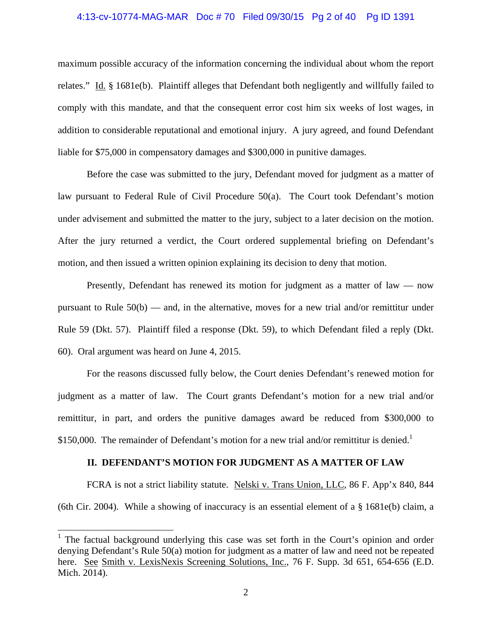## 4:13-cv-10774-MAG-MAR Doc # 70 Filed 09/30/15 Pg 2 of 40 Pg ID 1391

maximum possible accuracy of the information concerning the individual about whom the report relates." Id. § 1681e(b). Plaintiff alleges that Defendant both negligently and willfully failed to comply with this mandate, and that the consequent error cost him six weeks of lost wages, in addition to considerable reputational and emotional injury. A jury agreed, and found Defendant liable for \$75,000 in compensatory damages and \$300,000 in punitive damages.

Before the case was submitted to the jury, Defendant moved for judgment as a matter of law pursuant to Federal Rule of Civil Procedure 50(a). The Court took Defendant's motion under advisement and submitted the matter to the jury, subject to a later decision on the motion. After the jury returned a verdict, the Court ordered supplemental briefing on Defendant's motion, and then issued a written opinion explaining its decision to deny that motion.

Presently, Defendant has renewed its motion for judgment as a matter of law — now pursuant to Rule  $50(b)$  — and, in the alternative, moves for a new trial and/or remittitur under Rule 59 (Dkt. 57). Plaintiff filed a response (Dkt. 59), to which Defendant filed a reply (Dkt. 60). Oral argument was heard on June 4, 2015.

For the reasons discussed fully below, the Court denies Defendant's renewed motion for judgment as a matter of law. The Court grants Defendant's motion for a new trial and/or remittitur, in part, and orders the punitive damages award be reduced from \$300,000 to \$150,000. The remainder of Defendant's motion for a new trial and/or remittitur is denied.<sup>1</sup>

#### **II. DEFENDANT'S MOTION FOR JUDGMENT AS A MATTER OF LAW**

 FCRA is not a strict liability statute. Nelski v. Trans Union, LLC, 86 F. App'x 840, 844 (6th Cir. 2004). While a showing of inaccuracy is an essential element of a § 1681e(b) claim, a

 $\overline{a}$ 

<sup>&</sup>lt;sup>1</sup> The factual background underlying this case was set forth in the Court's opinion and order denying Defendant's Rule 50(a) motion for judgment as a matter of law and need not be repeated here. See Smith v. LexisNexis Screening Solutions, Inc., 76 F. Supp. 3d 651, 654-656 (E.D. Mich. 2014).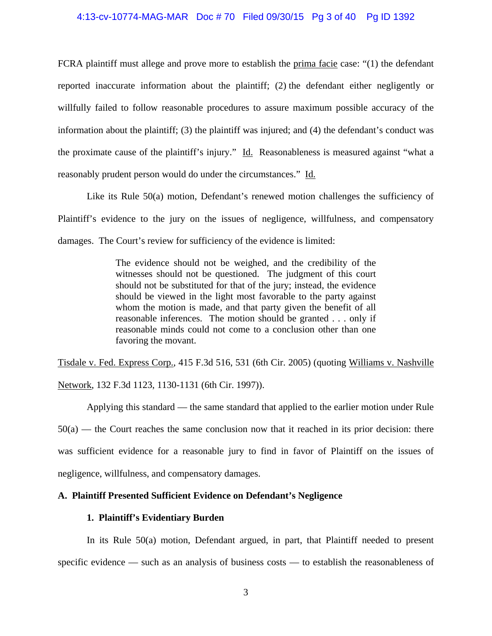# 4:13-cv-10774-MAG-MAR Doc # 70 Filed 09/30/15 Pg 3 of 40 Pg ID 1392

FCRA plaintiff must allege and prove more to establish the prima facie case: "(1) the defendant reported inaccurate information about the plaintiff; (2) the defendant either negligently or willfully failed to follow reasonable procedures to assure maximum possible accuracy of the information about the plaintiff; (3) the plaintiff was injured; and (4) the defendant's conduct was the proximate cause of the plaintiff's injury." Id. Reasonableness is measured against "what a reasonably prudent person would do under the circumstances." Id.

Like its Rule 50(a) motion, Defendant's renewed motion challenges the sufficiency of Plaintiff's evidence to the jury on the issues of negligence, willfulness, and compensatory damages. The Court's review for sufficiency of the evidence is limited:

> The evidence should not be weighed, and the credibility of the witnesses should not be questioned. The judgment of this court should not be substituted for that of the jury; instead, the evidence should be viewed in the light most favorable to the party against whom the motion is made, and that party given the benefit of all reasonable inferences. The motion should be granted . . . only if reasonable minds could not come to a conclusion other than one favoring the movant.

Tisdale v. Fed. Express Corp., 415 F.3d 516, 531 (6th Cir. 2005) (quoting Williams v. Nashville Network, 132 F.3d 1123, 1130-1131 (6th Cir. 1997)).

Applying this standard — the same standard that applied to the earlier motion under Rule 50(a) — the Court reaches the same conclusion now that it reached in its prior decision: there was sufficient evidence for a reasonable jury to find in favor of Plaintiff on the issues of negligence, willfulness, and compensatory damages.

# **A. Plaintiff Presented Sufficient Evidence on Defendant's Negligence**

# **1. Plaintiff's Evidentiary Burden**

 In its Rule 50(a) motion, Defendant argued, in part, that Plaintiff needed to present specific evidence — such as an analysis of business costs — to establish the reasonableness of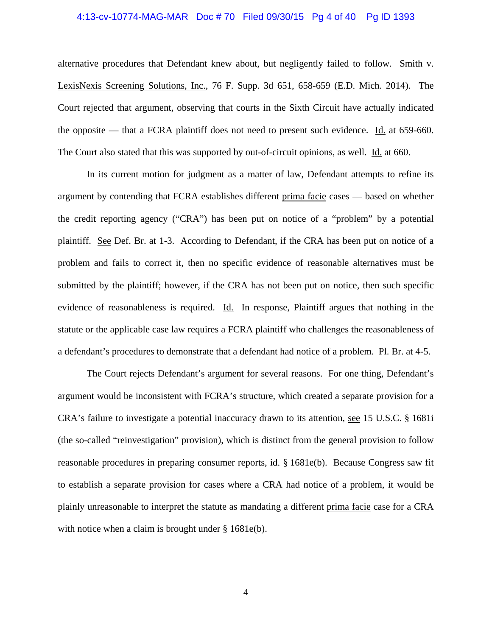#### 4:13-cv-10774-MAG-MAR Doc # 70 Filed 09/30/15 Pg 4 of 40 Pg ID 1393

alternative procedures that Defendant knew about, but negligently failed to follow. Smith v. LexisNexis Screening Solutions, Inc., 76 F. Supp. 3d 651, 658-659 (E.D. Mich. 2014). The Court rejected that argument, observing that courts in the Sixth Circuit have actually indicated the opposite — that a FCRA plaintiff does not need to present such evidence. Id. at 659-660. The Court also stated that this was supported by out-of-circuit opinions, as well. Id. at 660.

In its current motion for judgment as a matter of law, Defendant attempts to refine its argument by contending that FCRA establishes different prima facie cases — based on whether the credit reporting agency ("CRA") has been put on notice of a "problem" by a potential plaintiff. See Def. Br. at 1-3. According to Defendant, if the CRA has been put on notice of a problem and fails to correct it, then no specific evidence of reasonable alternatives must be submitted by the plaintiff; however, if the CRA has not been put on notice, then such specific evidence of reasonableness is required. Id. In response, Plaintiff argues that nothing in the statute or the applicable case law requires a FCRA plaintiff who challenges the reasonableness of a defendant's procedures to demonstrate that a defendant had notice of a problem. Pl. Br. at 4-5.

The Court rejects Defendant's argument for several reasons. For one thing, Defendant's argument would be inconsistent with FCRA's structure, which created a separate provision for a CRA's failure to investigate a potential inaccuracy drawn to its attention, see 15 U.S.C. § 1681i (the so-called "reinvestigation" provision), which is distinct from the general provision to follow reasonable procedures in preparing consumer reports, id. § 1681e(b). Because Congress saw fit to establish a separate provision for cases where a CRA had notice of a problem, it would be plainly unreasonable to interpret the statute as mandating a different prima facie case for a CRA with notice when a claim is brought under § 1681e(b).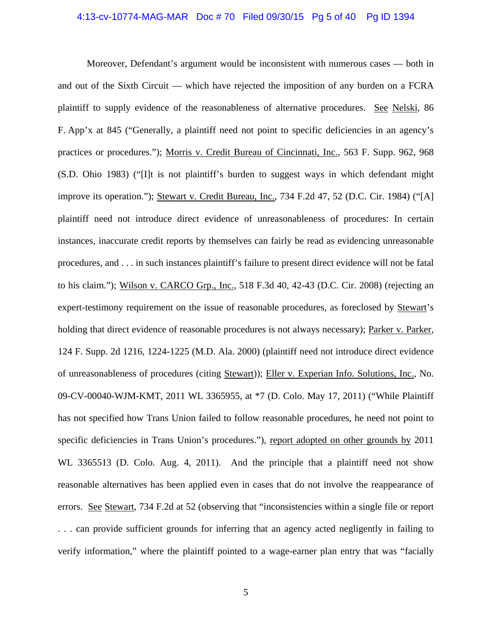#### 4:13-cv-10774-MAG-MAR Doc # 70 Filed 09/30/15 Pg 5 of 40 Pg ID 1394

Moreover, Defendant's argument would be inconsistent with numerous cases — both in and out of the Sixth Circuit — which have rejected the imposition of any burden on a FCRA plaintiff to supply evidence of the reasonableness of alternative procedures. See Nelski, 86 F. App'x at 845 ("Generally, a plaintiff need not point to specific deficiencies in an agency's practices or procedures."); Morris v. Credit Bureau of Cincinnati, Inc., 563 F. Supp. 962, 968 (S.D. Ohio 1983) ("[I]t is not plaintiff's burden to suggest ways in which defendant might improve its operation."); Stewart v. Credit Bureau, Inc., 734 F.2d 47, 52 (D.C. Cir. 1984) ("[A] plaintiff need not introduce direct evidence of unreasonableness of procedures: In certain instances, inaccurate credit reports by themselves can fairly be read as evidencing unreasonable procedures, and . . . in such instances plaintiff's failure to present direct evidence will not be fatal to his claim."); Wilson v. CARCO Grp., Inc., 518 F.3d 40, 42-43 (D.C. Cir. 2008) (rejecting an expert-testimony requirement on the issue of reasonable procedures, as foreclosed by Stewart's holding that direct evidence of reasonable procedures is not always necessary); Parker v. Parker, 124 F. Supp. 2d 1216, 1224-1225 (M.D. Ala. 2000) (plaintiff need not introduce direct evidence of unreasonableness of procedures (citing Stewart)); Eller v. Experian Info. Solutions, Inc., No. 09-CV-00040-WJM-KMT, 2011 WL 3365955, at \*7 (D. Colo. May 17, 2011) ("While Plaintiff has not specified how Trans Union failed to follow reasonable procedures, he need not point to specific deficiencies in Trans Union's procedures."), report adopted on other grounds by 2011 WL 3365513 (D. Colo. Aug. 4, 2011). And the principle that a plaintiff need not show reasonable alternatives has been applied even in cases that do not involve the reappearance of errors. See Stewart, 734 F.2d at 52 (observing that "inconsistencies within a single file or report . . . can provide sufficient grounds for inferring that an agency acted negligently in failing to verify information," where the plaintiff pointed to a wage-earner plan entry that was "facially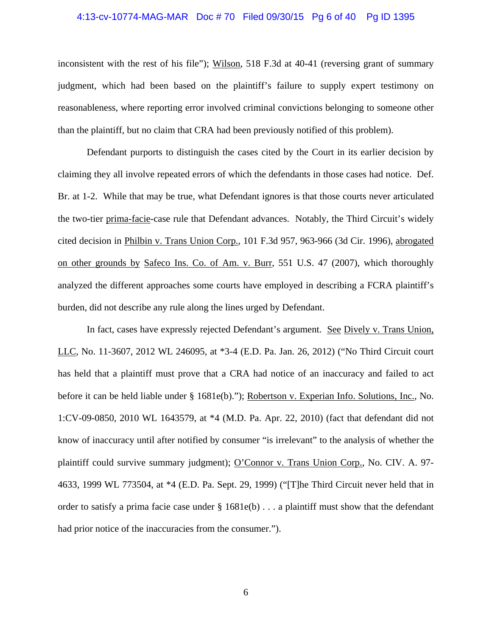#### 4:13-cv-10774-MAG-MAR Doc # 70 Filed 09/30/15 Pg 6 of 40 Pg ID 1395

inconsistent with the rest of his file"); Wilson, 518 F.3d at 40-41 (reversing grant of summary judgment, which had been based on the plaintiff's failure to supply expert testimony on reasonableness, where reporting error involved criminal convictions belonging to someone other than the plaintiff, but no claim that CRA had been previously notified of this problem).

Defendant purports to distinguish the cases cited by the Court in its earlier decision by claiming they all involve repeated errors of which the defendants in those cases had notice. Def. Br. at 1-2. While that may be true, what Defendant ignores is that those courts never articulated the two-tier prima-facie-case rule that Defendant advances. Notably, the Third Circuit's widely cited decision in Philbin v. Trans Union Corp., 101 F.3d 957, 963-966 (3d Cir. 1996), abrogated on other grounds by Safeco Ins. Co. of Am. v. Burr, 551 U.S. 47 (2007), which thoroughly analyzed the different approaches some courts have employed in describing a FCRA plaintiff's burden, did not describe any rule along the lines urged by Defendant.

In fact, cases have expressly rejected Defendant's argument. See Dively v. Trans Union, LLC, No. 11-3607, 2012 WL 246095, at \*3-4 (E.D. Pa. Jan. 26, 2012) ("No Third Circuit court has held that a plaintiff must prove that a CRA had notice of an inaccuracy and failed to act before it can be held liable under § 1681e(b)."); Robertson v. Experian Info. Solutions, Inc., No. 1:CV-09-0850, 2010 WL 1643579, at \*4 (M.D. Pa. Apr. 22, 2010) (fact that defendant did not know of inaccuracy until after notified by consumer "is irrelevant" to the analysis of whether the plaintiff could survive summary judgment); O'Connor v. Trans Union Corp., No. CIV. A. 97- 4633, 1999 WL 773504, at \*4 (E.D. Pa. Sept. 29, 1999) ("[T]he Third Circuit never held that in order to satisfy a prima facie case under  $\S 1681e(b) \ldots$  a plaintiff must show that the defendant had prior notice of the inaccuracies from the consumer.").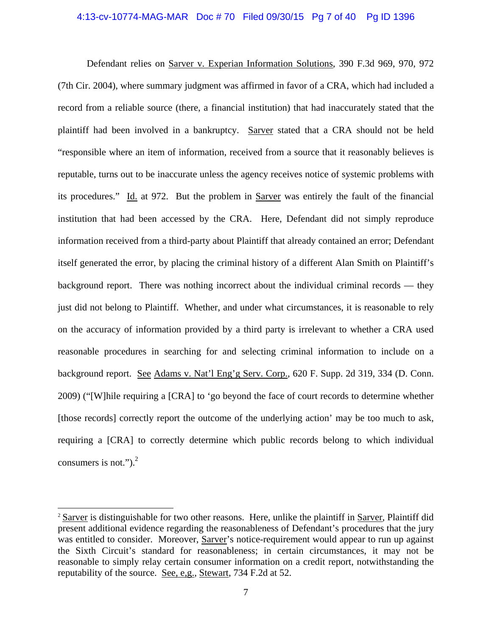## 4:13-cv-10774-MAG-MAR Doc # 70 Filed 09/30/15 Pg 7 of 40 Pg ID 1396

Defendant relies on Sarver v. Experian Information Solutions, 390 F.3d 969, 970, 972 (7th Cir. 2004), where summary judgment was affirmed in favor of a CRA, which had included a record from a reliable source (there, a financial institution) that had inaccurately stated that the plaintiff had been involved in a bankruptcy. Sarver stated that a CRA should not be held "responsible where an item of information, received from a source that it reasonably believes is reputable, turns out to be inaccurate unless the agency receives notice of systemic problems with its procedures." Id. at 972. But the problem in Sarver was entirely the fault of the financial institution that had been accessed by the CRA. Here, Defendant did not simply reproduce information received from a third-party about Plaintiff that already contained an error; Defendant itself generated the error, by placing the criminal history of a different Alan Smith on Plaintiff's background report. There was nothing incorrect about the individual criminal records — they just did not belong to Plaintiff. Whether, and under what circumstances, it is reasonable to rely on the accuracy of information provided by a third party is irrelevant to whether a CRA used reasonable procedures in searching for and selecting criminal information to include on a background report. See Adams v. Nat'l Eng'g Serv. Corp., 620 F. Supp. 2d 319, 334 (D. Conn. 2009) ("[W]hile requiring a [CRA] to 'go beyond the face of court records to determine whether [those records] correctly report the outcome of the underlying action' may be too much to ask, requiring a [CRA] to correctly determine which public records belong to which individual consumers is not."). $^{2}$ 

 $\overline{a}$ 

<sup>&</sup>lt;sup>2</sup> Sarver is distinguishable for two other reasons. Here, unlike the plaintiff in Sarver, Plaintiff did present additional evidence regarding the reasonableness of Defendant's procedures that the jury was entitled to consider. Moreover, Sarver's notice-requirement would appear to run up against the Sixth Circuit's standard for reasonableness; in certain circumstances, it may not be reasonable to simply relay certain consumer information on a credit report, notwithstanding the reputability of the source. See, e,g., Stewart, 734 F.2d at 52.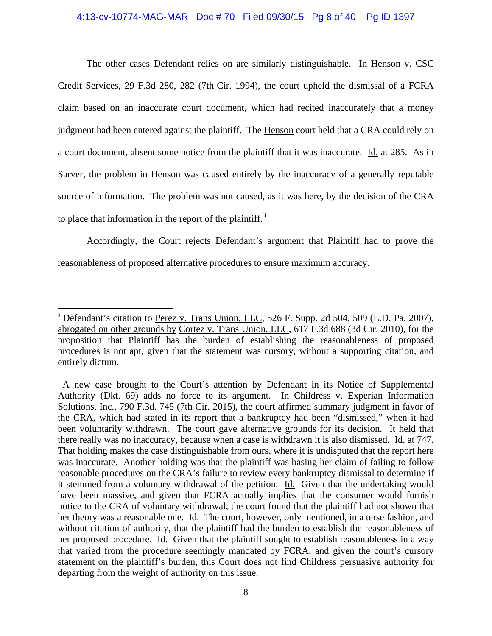# 4:13-cv-10774-MAG-MAR Doc # 70 Filed 09/30/15 Pg 8 of 40 Pg ID 1397

The other cases Defendant relies on are similarly distinguishable. In Henson v. CSC Credit Services, 29 F.3d 280, 282 (7th Cir. 1994), the court upheld the dismissal of a FCRA claim based on an inaccurate court document, which had recited inaccurately that a money judgment had been entered against the plaintiff. The Henson court held that a CRA could rely on a court document, absent some notice from the plaintiff that it was inaccurate. Id. at 285. As in Sarver, the problem in Henson was caused entirely by the inaccuracy of a generally reputable source of information. The problem was not caused, as it was here, by the decision of the CRA to place that information in the report of the plaintiff.<sup>3</sup>

Accordingly, the Court rejects Defendant's argument that Plaintiff had to prove the reasonableness of proposed alternative procedures to ensure maximum accuracy.

 $\overline{a}$ 

<sup>&</sup>lt;sup>3</sup> Defendant's citation to Perez v. Trans Union, LLC, 526 F. Supp. 2d 504, 509 (E.D. Pa. 2007), abrogated on other grounds by Cortez v. Trans Union, LLC, 617 F.3d 688 (3d Cir. 2010), for the proposition that Plaintiff has the burden of establishing the reasonableness of proposed procedures is not apt, given that the statement was cursory, without a supporting citation, and entirely dictum.

A new case brought to the Court's attention by Defendant in its Notice of Supplemental Authority (Dkt. 69) adds no force to its argument. In Childress v. Experian Information Solutions, Inc., 790 F.3d. 745 (7th Cir. 2015), the court affirmed summary judgment in favor of the CRA, which had stated in its report that a bankruptcy had been "dismissed," when it had been voluntarily withdrawn. The court gave alternative grounds for its decision. It held that there really was no inaccuracy, because when a case is withdrawn it is also dismissed. Id. at 747. That holding makes the case distinguishable from ours, where it is undisputed that the report here was inaccurate. Another holding was that the plaintiff was basing her claim of failing to follow reasonable procedures on the CRA's failure to review every bankruptcy dismissal to determine if it stemmed from a voluntary withdrawal of the petition. Id. Given that the undertaking would have been massive, and given that FCRA actually implies that the consumer would furnish notice to the CRA of voluntary withdrawal, the court found that the plaintiff had not shown that her theory was a reasonable one. Id. The court, however, only mentioned, in a terse fashion, and without citation of authority, that the plaintiff had the burden to establish the reasonableness of her proposed procedure. Id. Given that the plaintiff sought to establish reasonableness in a way that varied from the procedure seemingly mandated by FCRA, and given the court's cursory statement on the plaintiff's burden, this Court does not find Childress persuasive authority for departing from the weight of authority on this issue.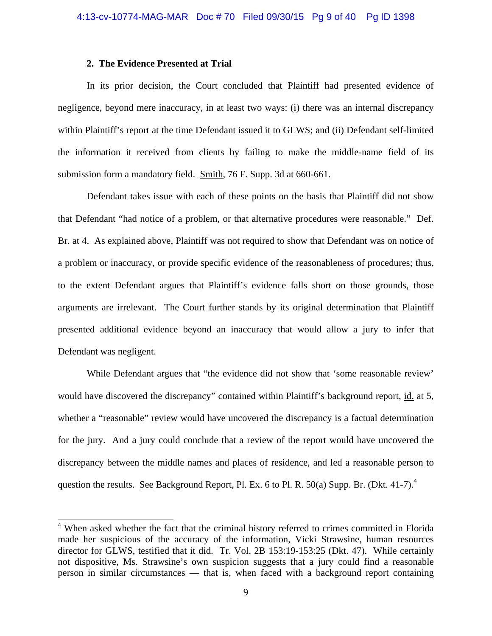# **2. The Evidence Presented at Trial**

In its prior decision, the Court concluded that Plaintiff had presented evidence of negligence, beyond mere inaccuracy, in at least two ways: (i) there was an internal discrepancy within Plaintiff's report at the time Defendant issued it to GLWS; and (ii) Defendant self-limited the information it received from clients by failing to make the middle-name field of its submission form a mandatory field. Smith, 76 F. Supp. 3d at 660-661.

Defendant takes issue with each of these points on the basis that Plaintiff did not show that Defendant "had notice of a problem, or that alternative procedures were reasonable." Def. Br. at 4. As explained above, Plaintiff was not required to show that Defendant was on notice of a problem or inaccuracy, or provide specific evidence of the reasonableness of procedures; thus, to the extent Defendant argues that Plaintiff's evidence falls short on those grounds, those arguments are irrelevant. The Court further stands by its original determination that Plaintiff presented additional evidence beyond an inaccuracy that would allow a jury to infer that Defendant was negligent.

While Defendant argues that "the evidence did not show that 'some reasonable review' would have discovered the discrepancy" contained within Plaintiff's background report, id. at 5, whether a "reasonable" review would have uncovered the discrepancy is a factual determination for the jury. And a jury could conclude that a review of the report would have uncovered the discrepancy between the middle names and places of residence, and led a reasonable person to question the results. See Background Report, Pl. Ex. 6 to Pl. R. 50(a) Supp. Br. (Dkt. 41-7).<sup>4</sup>

 4 When asked whether the fact that the criminal history referred to crimes committed in Florida made her suspicious of the accuracy of the information, Vicki Strawsine, human resources director for GLWS, testified that it did. Tr. Vol. 2B 153:19-153:25 (Dkt. 47). While certainly not dispositive, Ms. Strawsine's own suspicion suggests that a jury could find a reasonable person in similar circumstances — that is, when faced with a background report containing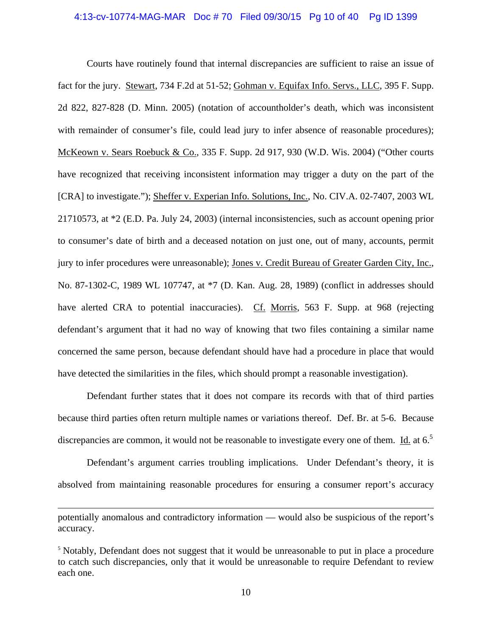## 4:13-cv-10774-MAG-MAR Doc # 70 Filed 09/30/15 Pg 10 of 40 Pg ID 1399

Courts have routinely found that internal discrepancies are sufficient to raise an issue of fact for the jury. Stewart, 734 F.2d at 51-52; Gohman v. Equifax Info. Servs., LLC, 395 F. Supp. 2d 822, 827-828 (D. Minn. 2005) (notation of accountholder's death, which was inconsistent with remainder of consumer's file, could lead jury to infer absence of reasonable procedures); McKeown v. Sears Roebuck & Co., 335 F. Supp. 2d 917, 930 (W.D. Wis. 2004) ("Other courts have recognized that receiving inconsistent information may trigger a duty on the part of the [CRA] to investigate."); Sheffer v. Experian Info. Solutions, Inc., No. CIV.A. 02-7407, 2003 WL 21710573, at \*2 (E.D. Pa. July 24, 2003) (internal inconsistencies, such as account opening prior to consumer's date of birth and a deceased notation on just one, out of many, accounts, permit jury to infer procedures were unreasonable); Jones v. Credit Bureau of Greater Garden City, Inc., No. 87-1302-C, 1989 WL 107747, at \*7 (D. Kan. Aug. 28, 1989) (conflict in addresses should have alerted CRA to potential inaccuracies). Cf. Morris, 563 F. Supp. at 968 (rejecting defendant's argument that it had no way of knowing that two files containing a similar name concerned the same person, because defendant should have had a procedure in place that would have detected the similarities in the files, which should prompt a reasonable investigation).

Defendant further states that it does not compare its records with that of third parties because third parties often return multiple names or variations thereof. Def. Br. at 5-6. Because discrepancies are common, it would not be reasonable to investigate every one of them. Id. at  $6<sup>5</sup>$ 

Defendant's argument carries troubling implications. Under Defendant's theory, it is absolved from maintaining reasonable procedures for ensuring a consumer report's accuracy

 $\overline{a}$ 

potentially anomalous and contradictory information — would also be suspicious of the report's accuracy.

<sup>&</sup>lt;sup>5</sup> Notably, Defendant does not suggest that it would be unreasonable to put in place a procedure to catch such discrepancies, only that it would be unreasonable to require Defendant to review each one.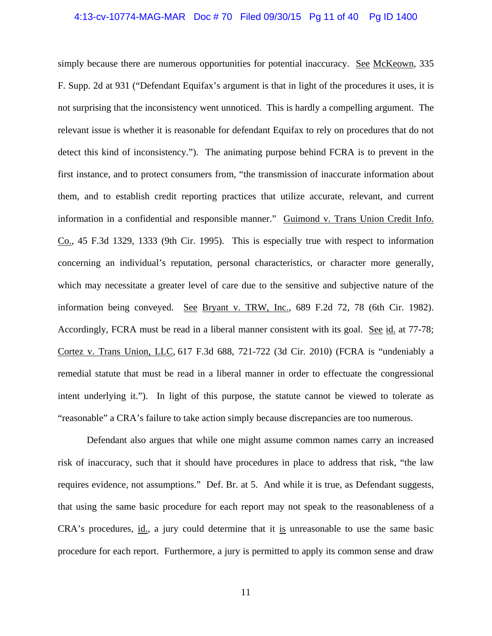## 4:13-cv-10774-MAG-MAR Doc # 70 Filed 09/30/15 Pg 11 of 40 Pg ID 1400

simply because there are numerous opportunities for potential inaccuracy. See McKeown, 335 F. Supp. 2d at 931 ("Defendant Equifax's argument is that in light of the procedures it uses, it is not surprising that the inconsistency went unnoticed. This is hardly a compelling argument. The relevant issue is whether it is reasonable for defendant Equifax to rely on procedures that do not detect this kind of inconsistency."). The animating purpose behind FCRA is to prevent in the first instance, and to protect consumers from, "the transmission of inaccurate information about them, and to establish credit reporting practices that utilize accurate, relevant, and current information in a confidential and responsible manner." Guimond v. Trans Union Credit Info. Co., 45 F.3d 1329, 1333 (9th Cir. 1995). This is especially true with respect to information concerning an individual's reputation, personal characteristics, or character more generally, which may necessitate a greater level of care due to the sensitive and subjective nature of the information being conveyed. See Bryant v. TRW, Inc., 689 F.2d 72, 78 (6th Cir. 1982). Accordingly, FCRA must be read in a liberal manner consistent with its goal. See id. at 77-78; Cortez v. Trans Union, LLC, 617 F.3d 688, 721-722 (3d Cir. 2010) (FCRA is "undeniably a remedial statute that must be read in a liberal manner in order to effectuate the congressional intent underlying it."). In light of this purpose, the statute cannot be viewed to tolerate as "reasonable" a CRA's failure to take action simply because discrepancies are too numerous.

Defendant also argues that while one might assume common names carry an increased risk of inaccuracy, such that it should have procedures in place to address that risk, "the law requires evidence, not assumptions." Def. Br. at 5. And while it is true, as Defendant suggests, that using the same basic procedure for each report may not speak to the reasonableness of a CRA's procedures, id., a jury could determine that it is unreasonable to use the same basic procedure for each report. Furthermore, a jury is permitted to apply its common sense and draw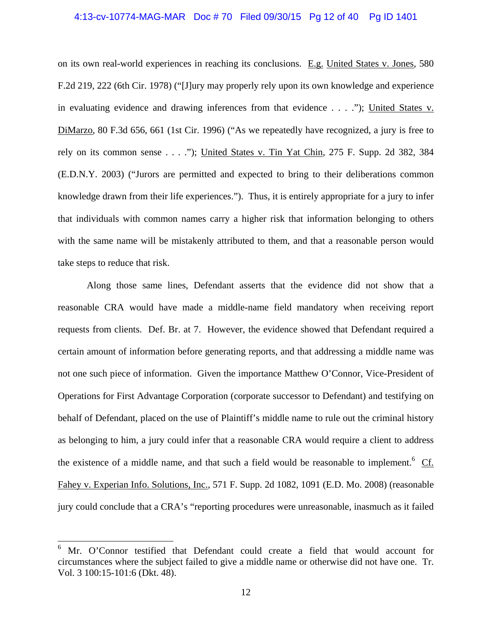# 4:13-cv-10774-MAG-MAR Doc # 70 Filed 09/30/15 Pg 12 of 40 Pg ID 1401

on its own real-world experiences in reaching its conclusions. E.g. United States v. Jones, 580 F.2d 219, 222 (6th Cir. 1978) ("[J]ury may properly rely upon its own knowledge and experience in evaluating evidence and drawing inferences from that evidence . . . ."); United States v. DiMarzo, 80 F.3d 656, 661 (1st Cir. 1996) ("As we repeatedly have recognized, a jury is free to rely on its common sense . . . ."); United States v. Tin Yat Chin, 275 F. Supp. 2d 382, 384 (E.D.N.Y. 2003) ("Jurors are permitted and expected to bring to their deliberations common knowledge drawn from their life experiences."). Thus, it is entirely appropriate for a jury to infer that individuals with common names carry a higher risk that information belonging to others with the same name will be mistakenly attributed to them, and that a reasonable person would take steps to reduce that risk.

Along those same lines, Defendant asserts that the evidence did not show that a reasonable CRA would have made a middle-name field mandatory when receiving report requests from clients. Def. Br. at 7. However, the evidence showed that Defendant required a certain amount of information before generating reports, and that addressing a middle name was not one such piece of information. Given the importance Matthew O'Connor, Vice-President of Operations for First Advantage Corporation (corporate successor to Defendant) and testifying on behalf of Defendant, placed on the use of Plaintiff's middle name to rule out the criminal history as belonging to him, a jury could infer that a reasonable CRA would require a client to address the existence of a middle name, and that such a field would be reasonable to implement.<sup>6</sup>  $Cf$ . Fahey v. Experian Info. Solutions, Inc., 571 F. Supp. 2d 1082, 1091 (E.D. Mo. 2008) (reasonable jury could conclude that a CRA's "reporting procedures were unreasonable, inasmuch as it failed

 $\overline{a}$ 

<sup>6</sup> Mr. O'Connor testified that Defendant could create a field that would account for circumstances where the subject failed to give a middle name or otherwise did not have one. Tr. Vol. 3 100:15-101:6 (Dkt. 48).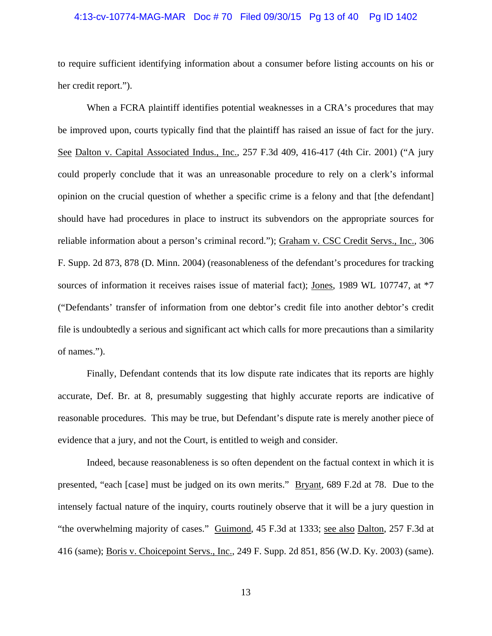# 4:13-cv-10774-MAG-MAR Doc # 70 Filed 09/30/15 Pg 13 of 40 Pg ID 1402

to require sufficient identifying information about a consumer before listing accounts on his or her credit report.").

When a FCRA plaintiff identifies potential weaknesses in a CRA's procedures that may be improved upon, courts typically find that the plaintiff has raised an issue of fact for the jury. See Dalton v. Capital Associated Indus., Inc., 257 F.3d 409, 416-417 (4th Cir. 2001) ("A jury could properly conclude that it was an unreasonable procedure to rely on a clerk's informal opinion on the crucial question of whether a specific crime is a felony and that [the defendant] should have had procedures in place to instruct its subvendors on the appropriate sources for reliable information about a person's criminal record."); Graham v. CSC Credit Servs., Inc., 306 F. Supp. 2d 873, 878 (D. Minn. 2004) (reasonableness of the defendant's procedures for tracking sources of information it receives raises issue of material fact); Jones, 1989 WL 107747, at  $*7$ ("Defendants' transfer of information from one debtor's credit file into another debtor's credit file is undoubtedly a serious and significant act which calls for more precautions than a similarity of names.").

Finally, Defendant contends that its low dispute rate indicates that its reports are highly accurate, Def. Br. at 8, presumably suggesting that highly accurate reports are indicative of reasonable procedures. This may be true, but Defendant's dispute rate is merely another piece of evidence that a jury, and not the Court, is entitled to weigh and consider.

Indeed, because reasonableness is so often dependent on the factual context in which it is presented, "each [case] must be judged on its own merits." Bryant, 689 F.2d at 78. Due to the intensely factual nature of the inquiry, courts routinely observe that it will be a jury question in "the overwhelming majority of cases." Guimond, 45 F.3d at 1333; see also Dalton, 257 F.3d at 416 (same); Boris v. Choicepoint Servs., Inc., 249 F. Supp. 2d 851, 856 (W.D. Ky. 2003) (same).

13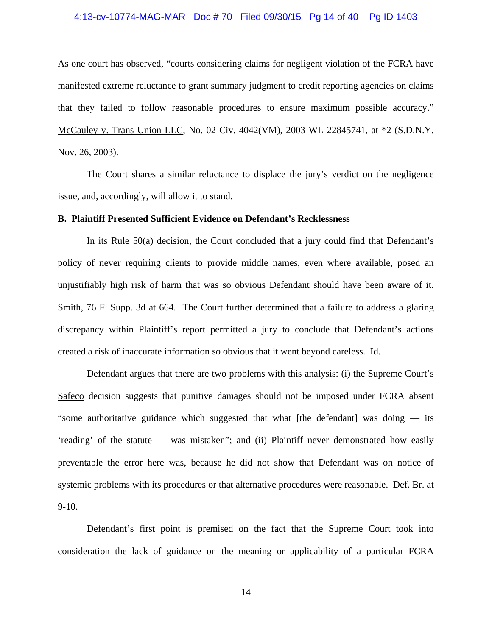# 4:13-cv-10774-MAG-MAR Doc # 70 Filed 09/30/15 Pg 14 of 40 Pg ID 1403

As one court has observed, "courts considering claims for negligent violation of the FCRA have manifested extreme reluctance to grant summary judgment to credit reporting agencies on claims that they failed to follow reasonable procedures to ensure maximum possible accuracy." McCauley v. Trans Union LLC, No. 02 Civ. 4042(VM), 2003 WL 22845741, at \*2 (S.D.N.Y. Nov. 26, 2003).

The Court shares a similar reluctance to displace the jury's verdict on the negligence issue, and, accordingly, will allow it to stand.

# **B. Plaintiff Presented Sufficient Evidence on Defendant's Recklessness**

In its Rule 50(a) decision, the Court concluded that a jury could find that Defendant's policy of never requiring clients to provide middle names, even where available, posed an unjustifiably high risk of harm that was so obvious Defendant should have been aware of it. Smith, 76 F. Supp. 3d at 664. The Court further determined that a failure to address a glaring discrepancy within Plaintiff's report permitted a jury to conclude that Defendant's actions created a risk of inaccurate information so obvious that it went beyond careless. Id.

Defendant argues that there are two problems with this analysis: (i) the Supreme Court's Safeco decision suggests that punitive damages should not be imposed under FCRA absent "some authoritative guidance which suggested that what [the defendant] was doing — its 'reading' of the statute — was mistaken"; and (ii) Plaintiff never demonstrated how easily preventable the error here was, because he did not show that Defendant was on notice of systemic problems with its procedures or that alternative procedures were reasonable. Def. Br. at 9-10.

Defendant's first point is premised on the fact that the Supreme Court took into consideration the lack of guidance on the meaning or applicability of a particular FCRA

14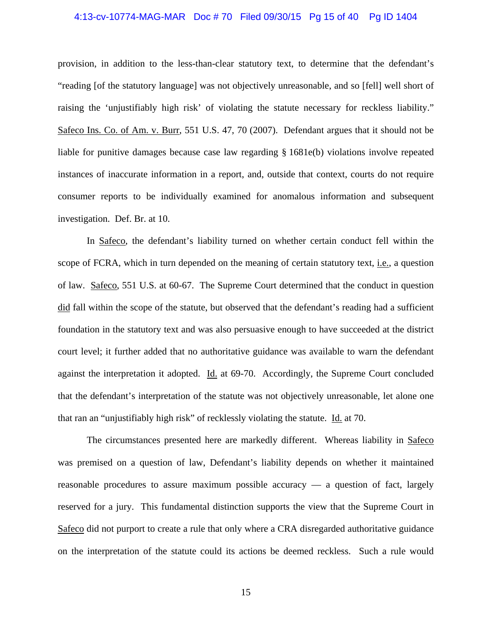# 4:13-cv-10774-MAG-MAR Doc # 70 Filed 09/30/15 Pg 15 of 40 Pg ID 1404

provision, in addition to the less-than-clear statutory text, to determine that the defendant's "reading [of the statutory language] was not objectively unreasonable, and so [fell] well short of raising the 'unjustifiably high risk' of violating the statute necessary for reckless liability." Safeco Ins. Co. of Am. v. Burr, 551 U.S. 47, 70 (2007). Defendant argues that it should not be liable for punitive damages because case law regarding § 1681e(b) violations involve repeated instances of inaccurate information in a report, and, outside that context, courts do not require consumer reports to be individually examined for anomalous information and subsequent investigation. Def. Br. at 10.

In Safeco, the defendant's liability turned on whether certain conduct fell within the scope of FCRA, which in turn depended on the meaning of certain statutory text, *i.e.*, a question of law. Safeco, 551 U.S. at 60-67. The Supreme Court determined that the conduct in question did fall within the scope of the statute, but observed that the defendant's reading had a sufficient foundation in the statutory text and was also persuasive enough to have succeeded at the district court level; it further added that no authoritative guidance was available to warn the defendant against the interpretation it adopted. Id. at 69-70. Accordingly, the Supreme Court concluded that the defendant's interpretation of the statute was not objectively unreasonable, let alone one that ran an "unjustifiably high risk" of recklessly violating the statute. Id. at 70.

The circumstances presented here are markedly different. Whereas liability in Safeco was premised on a question of law, Defendant's liability depends on whether it maintained reasonable procedures to assure maximum possible accuracy — a question of fact, largely reserved for a jury. This fundamental distinction supports the view that the Supreme Court in Safeco did not purport to create a rule that only where a CRA disregarded authoritative guidance on the interpretation of the statute could its actions be deemed reckless. Such a rule would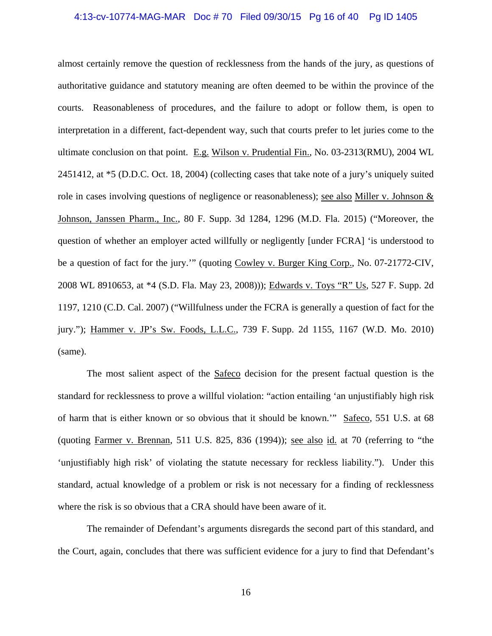## 4:13-cv-10774-MAG-MAR Doc # 70 Filed 09/30/15 Pg 16 of 40 Pg ID 1405

almost certainly remove the question of recklessness from the hands of the jury, as questions of authoritative guidance and statutory meaning are often deemed to be within the province of the courts. Reasonableness of procedures, and the failure to adopt or follow them, is open to interpretation in a different, fact-dependent way, such that courts prefer to let juries come to the ultimate conclusion on that point. E.g. Wilson v. Prudential Fin., No. 03-2313(RMU), 2004 WL 2451412, at \*5 (D.D.C. Oct. 18, 2004) (collecting cases that take note of a jury's uniquely suited role in cases involving questions of negligence or reasonableness); see also Miller v. Johnson & Johnson, Janssen Pharm., Inc., 80 F. Supp. 3d 1284, 1296 (M.D. Fla. 2015) ("Moreover, the question of whether an employer acted willfully or negligently [under FCRA] 'is understood to be a question of fact for the jury."" (quoting Cowley v. Burger King Corp., No. 07-21772-CIV, 2008 WL 8910653, at \*4 (S.D. Fla. May 23, 2008))); Edwards v. Toys "R" Us, 527 F. Supp. 2d 1197, 1210 (C.D. Cal. 2007) ("Willfulness under the FCRA is generally a question of fact for the jury."); Hammer v. JP's Sw. Foods, L.L.C., 739 F. Supp. 2d 1155, 1167 (W.D. Mo. 2010) (same).

The most salient aspect of the **Safeco** decision for the present factual question is the standard for recklessness to prove a willful violation: "action entailing 'an unjustifiably high risk of harm that is either known or so obvious that it should be known.'" Safeco, 551 U.S. at 68 (quoting Farmer v. Brennan, 511 U.S. 825, 836 (1994)); see also id. at 70 (referring to "the 'unjustifiably high risk' of violating the statute necessary for reckless liability."). Under this standard, actual knowledge of a problem or risk is not necessary for a finding of recklessness where the risk is so obvious that a CRA should have been aware of it.

The remainder of Defendant's arguments disregards the second part of this standard, and the Court, again, concludes that there was sufficient evidence for a jury to find that Defendant's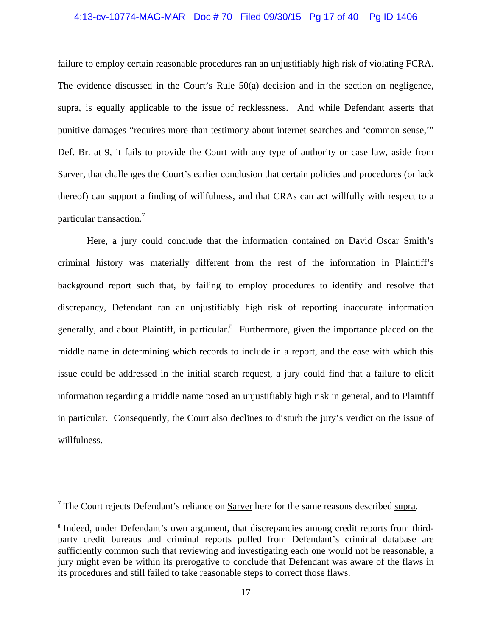# 4:13-cv-10774-MAG-MAR Doc # 70 Filed 09/30/15 Pg 17 of 40 Pg ID 1406

failure to employ certain reasonable procedures ran an unjustifiably high risk of violating FCRA. The evidence discussed in the Court's Rule 50(a) decision and in the section on negligence, supra, is equally applicable to the issue of recklessness. And while Defendant asserts that punitive damages "requires more than testimony about internet searches and 'common sense,'" Def. Br. at 9, it fails to provide the Court with any type of authority or case law, aside from Sarver, that challenges the Court's earlier conclusion that certain policies and procedures (or lack thereof) can support a finding of willfulness, and that CRAs can act willfully with respect to a particular transaction.7

Here, a jury could conclude that the information contained on David Oscar Smith's criminal history was materially different from the rest of the information in Plaintiff's background report such that, by failing to employ procedures to identify and resolve that discrepancy, Defendant ran an unjustifiably high risk of reporting inaccurate information generally, and about Plaintiff, in particular.<sup>8</sup> Furthermore, given the importance placed on the middle name in determining which records to include in a report, and the ease with which this issue could be addressed in the initial search request, a jury could find that a failure to elicit information regarding a middle name posed an unjustifiably high risk in general, and to Plaintiff in particular. Consequently, the Court also declines to disturb the jury's verdict on the issue of willfulness.

<sup>&</sup>lt;sup>7</sup> The Court rejects Defendant's reliance on <u>Sarver</u> here for the same reasons described supra.

<sup>&</sup>lt;sup>8</sup> Indeed, under Defendant's own argument, that discrepancies among credit reports from thirdparty credit bureaus and criminal reports pulled from Defendant's criminal database are sufficiently common such that reviewing and investigating each one would not be reasonable, a jury might even be within its prerogative to conclude that Defendant was aware of the flaws in its procedures and still failed to take reasonable steps to correct those flaws.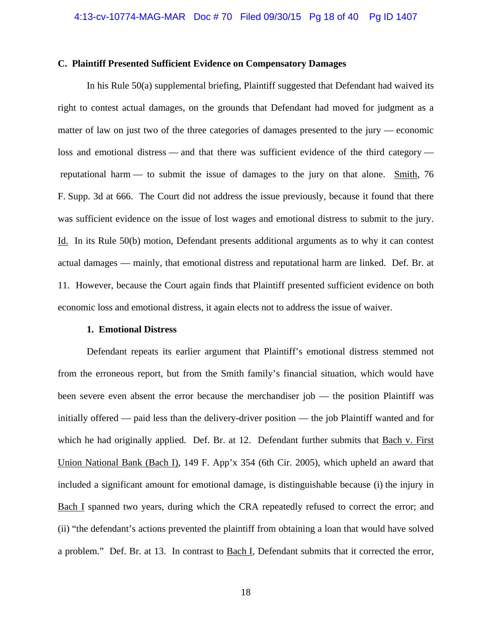# **C. Plaintiff Presented Sufficient Evidence on Compensatory Damages**

 In his Rule 50(a) supplemental briefing, Plaintiff suggested that Defendant had waived its right to contest actual damages, on the grounds that Defendant had moved for judgment as a matter of law on just two of the three categories of damages presented to the jury — economic loss and emotional distress — and that there was sufficient evidence of the third category reputational harm — to submit the issue of damages to the jury on that alone. Smith, 76 F. Supp. 3d at 666. The Court did not address the issue previously, because it found that there was sufficient evidence on the issue of lost wages and emotional distress to submit to the jury. Id. In its Rule 50(b) motion, Defendant presents additional arguments as to why it can contest actual damages — mainly, that emotional distress and reputational harm are linked. Def. Br. at 11. However, because the Court again finds that Plaintiff presented sufficient evidence on both economic loss and emotional distress, it again elects not to address the issue of waiver.

#### **1. Emotional Distress**

 Defendant repeats its earlier argument that Plaintiff's emotional distress stemmed not from the erroneous report, but from the Smith family's financial situation, which would have been severe even absent the error because the merchandiser job — the position Plaintiff was initially offered — paid less than the delivery-driver position — the job Plaintiff wanted and for which he had originally applied. Def. Br. at 12. Defendant further submits that Bach v. First Union National Bank (Bach I), 149 F. App'x 354 (6th Cir. 2005), which upheld an award that included a significant amount for emotional damage, is distinguishable because (i) the injury in Bach I spanned two years, during which the CRA repeatedly refused to correct the error; and (ii) "the defendant's actions prevented the plaintiff from obtaining a loan that would have solved a problem." Def. Br. at 13. In contrast to Bach I, Defendant submits that it corrected the error,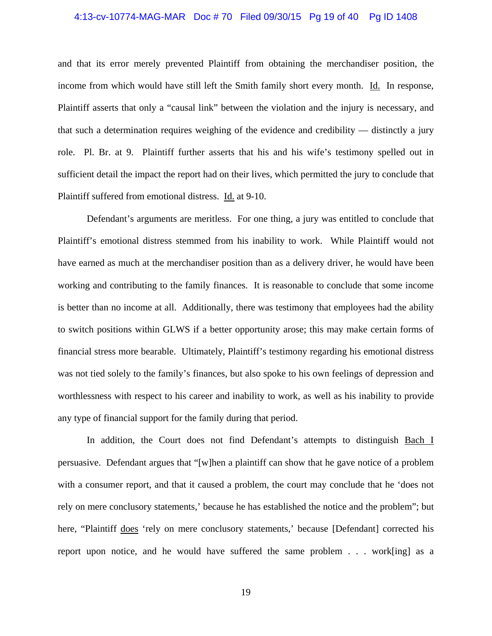# 4:13-cv-10774-MAG-MAR Doc # 70 Filed 09/30/15 Pg 19 of 40 Pg ID 1408

and that its error merely prevented Plaintiff from obtaining the merchandiser position, the income from which would have still left the Smith family short every month. Id. In response, Plaintiff asserts that only a "causal link" between the violation and the injury is necessary, and that such a determination requires weighing of the evidence and credibility — distinctly a jury role. Pl. Br. at 9. Plaintiff further asserts that his and his wife's testimony spelled out in sufficient detail the impact the report had on their lives, which permitted the jury to conclude that Plaintiff suffered from emotional distress. Id. at 9-10.

 Defendant's arguments are meritless. For one thing, a jury was entitled to conclude that Plaintiff's emotional distress stemmed from his inability to work. While Plaintiff would not have earned as much at the merchandiser position than as a delivery driver, he would have been working and contributing to the family finances. It is reasonable to conclude that some income is better than no income at all. Additionally, there was testimony that employees had the ability to switch positions within GLWS if a better opportunity arose; this may make certain forms of financial stress more bearable. Ultimately, Plaintiff's testimony regarding his emotional distress was not tied solely to the family's finances, but also spoke to his own feelings of depression and worthlessness with respect to his career and inability to work, as well as his inability to provide any type of financial support for the family during that period.

 In addition, the Court does not find Defendant's attempts to distinguish Bach I persuasive. Defendant argues that "[w]hen a plaintiff can show that he gave notice of a problem with a consumer report, and that it caused a problem, the court may conclude that he 'does not rely on mere conclusory statements,' because he has established the notice and the problem"; but here, "Plaintiff does 'rely on mere conclusory statements,' because [Defendant] corrected his report upon notice, and he would have suffered the same problem . . . work[ing] as a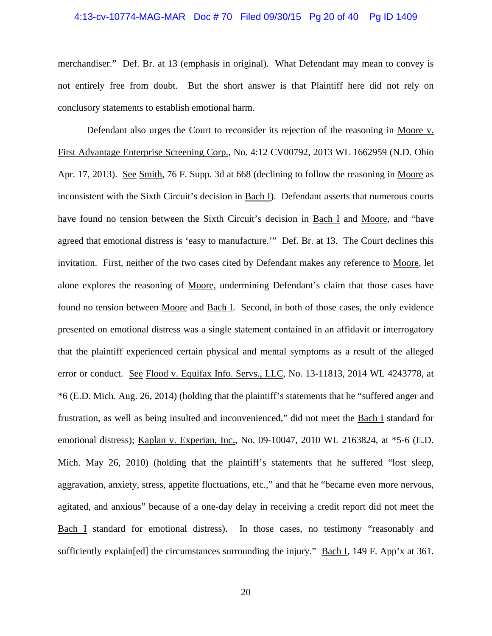# 4:13-cv-10774-MAG-MAR Doc # 70 Filed 09/30/15 Pg 20 of 40 Pg ID 1409

merchandiser." Def. Br. at 13 (emphasis in original). What Defendant may mean to convey is not entirely free from doubt. But the short answer is that Plaintiff here did not rely on conclusory statements to establish emotional harm.

Defendant also urges the Court to reconsider its rejection of the reasoning in Moore v. First Advantage Enterprise Screening Corp., No. 4:12 CV00792, 2013 WL 1662959 (N.D. Ohio Apr. 17, 2013). See Smith, 76 F. Supp. 3d at 668 (declining to follow the reasoning in Moore as inconsistent with the Sixth Circuit's decision in Bach I). Defendant asserts that numerous courts have found no tension between the Sixth Circuit's decision in Bach I and Moore, and "have agreed that emotional distress is 'easy to manufacture.'" Def. Br. at 13. The Court declines this invitation. First, neither of the two cases cited by Defendant makes any reference to Moore, let alone explores the reasoning of Moore, undermining Defendant's claim that those cases have found no tension between Moore and Bach I. Second, in both of those cases, the only evidence presented on emotional distress was a single statement contained in an affidavit or interrogatory that the plaintiff experienced certain physical and mental symptoms as a result of the alleged error or conduct. See Flood v. Equifax Info. Servs., LLC, No. 13-11813, 2014 WL 4243778, at \*6 (E.D. Mich. Aug. 26, 2014) (holding that the plaintiff's statements that he "suffered anger and frustration, as well as being insulted and inconvenienced," did not meet the Bach I standard for emotional distress); Kaplan v. Experian, Inc., No. 09-10047, 2010 WL 2163824, at \*5-6 (E.D. Mich. May 26, 2010) (holding that the plaintiff's statements that he suffered "lost sleep, aggravation, anxiety, stress, appetite fluctuations, etc.," and that he "became even more nervous, agitated, and anxious" because of a one-day delay in receiving a credit report did not meet the Bach I standard for emotional distress). In those cases, no testimony "reasonably and sufficiently explain[ed] the circumstances surrounding the injury." Bach I, 149 F. App'x at 361.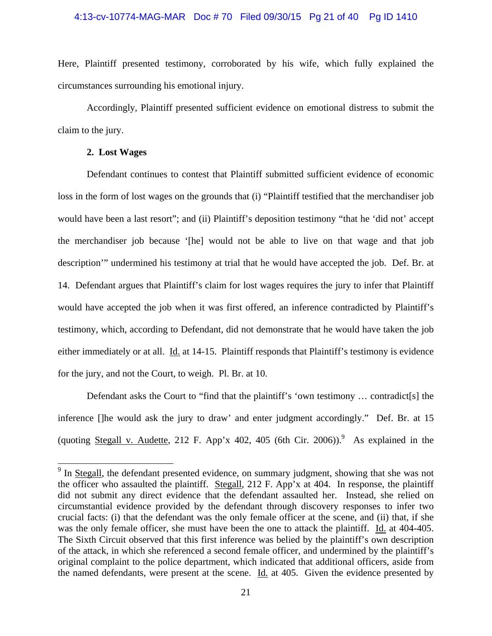# 4:13-cv-10774-MAG-MAR Doc # 70 Filed 09/30/15 Pg 21 of 40 Pg ID 1410

Here, Plaintiff presented testimony, corroborated by his wife, which fully explained the circumstances surrounding his emotional injury.

Accordingly, Plaintiff presented sufficient evidence on emotional distress to submit the claim to the jury.

# **2. Lost Wages**

 $\overline{a}$ 

 Defendant continues to contest that Plaintiff submitted sufficient evidence of economic loss in the form of lost wages on the grounds that (i) "Plaintiff testified that the merchandiser job would have been a last resort"; and (ii) Plaintiff's deposition testimony "that he 'did not' accept the merchandiser job because '[he] would not be able to live on that wage and that job description'" undermined his testimony at trial that he would have accepted the job. Def. Br. at 14. Defendant argues that Plaintiff's claim for lost wages requires the jury to infer that Plaintiff would have accepted the job when it was first offered, an inference contradicted by Plaintiff's testimony, which, according to Defendant, did not demonstrate that he would have taken the job either immediately or at all. Id. at 14-15. Plaintiff responds that Plaintiff's testimony is evidence for the jury, and not the Court, to weigh. Pl. Br. at 10.

Defendant asks the Court to "find that the plaintiff's 'own testimony … contradict[s] the inference []he would ask the jury to draw' and enter judgment accordingly." Def. Br. at 15 (quoting Stegall v. Audette, 212 F. App'x 402, 405 (6th Cir. 2006)).<sup>9</sup> As explained in the

<sup>&</sup>lt;sup>9</sup> In Stegall, the defendant presented evidence, on summary judgment, showing that she was not the officer who assaulted the plaintiff. Stegall, 212 F. App'x at 404. In response, the plaintiff did not submit any direct evidence that the defendant assaulted her. Instead, she relied on circumstantial evidence provided by the defendant through discovery responses to infer two crucial facts: (i) that the defendant was the only female officer at the scene, and (ii) that, if she was the only female officer, she must have been the one to attack the plaintiff. Id. at 404-405. The Sixth Circuit observed that this first inference was belied by the plaintiff's own description of the attack, in which she referenced a second female officer, and undermined by the plaintiff's original complaint to the police department, which indicated that additional officers, aside from the named defendants, were present at the scene. Id. at 405. Given the evidence presented by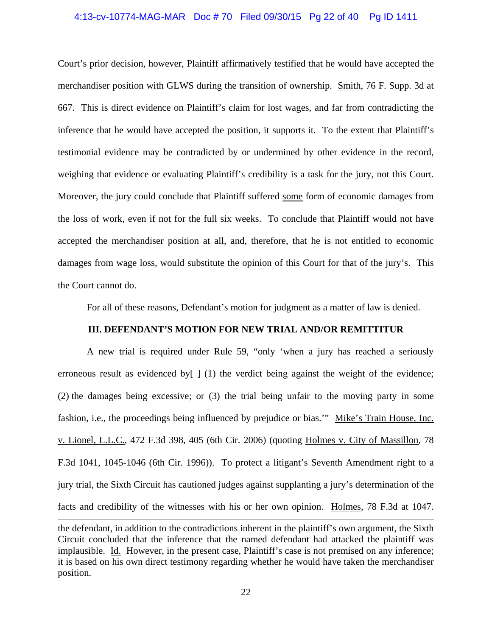# 4:13-cv-10774-MAG-MAR Doc # 70 Filed 09/30/15 Pg 22 of 40 Pg ID 1411

Court's prior decision, however, Plaintiff affirmatively testified that he would have accepted the merchandiser position with GLWS during the transition of ownership. Smith, 76 F. Supp. 3d at 667. This is direct evidence on Plaintiff's claim for lost wages, and far from contradicting the inference that he would have accepted the position, it supports it. To the extent that Plaintiff's testimonial evidence may be contradicted by or undermined by other evidence in the record, weighing that evidence or evaluating Plaintiff's credibility is a task for the jury, not this Court. Moreover, the jury could conclude that Plaintiff suffered some form of economic damages from the loss of work, even if not for the full six weeks. To conclude that Plaintiff would not have accepted the merchandiser position at all, and, therefore, that he is not entitled to economic damages from wage loss, would substitute the opinion of this Court for that of the jury's. This the Court cannot do.

For all of these reasons, Defendant's motion for judgment as a matter of law is denied.

# **III. DEFENDANT'S MOTION FOR NEW TRIAL AND/OR REMITTITUR**

A new trial is required under Rule 59, "only 'when a jury has reached a seriously erroneous result as evidenced by [ ] (1) the verdict being against the weight of the evidence; (2) the damages being excessive; or (3) the trial being unfair to the moving party in some fashion, i.e., the proceedings being influenced by prejudice or bias.'" Mike's Train House, Inc. v. Lionel, L.L.C., 472 F.3d 398, 405 (6th Cir. 2006) (quoting Holmes v. City of Massillon, 78 F.3d 1041, 1045-1046 (6th Cir. 1996)). To protect a litigant's Seventh Amendment right to a jury trial, the Sixth Circuit has cautioned judges against supplanting a jury's determination of the facts and credibility of the witnesses with his or her own opinion. Holmes, 78 F.3d at 1047. l

the defendant, in addition to the contradictions inherent in the plaintiff's own argument, the Sixth Circuit concluded that the inference that the named defendant had attacked the plaintiff was implausible. Id. However, in the present case, Plaintiff's case is not premised on any inference; it is based on his own direct testimony regarding whether he would have taken the merchandiser position.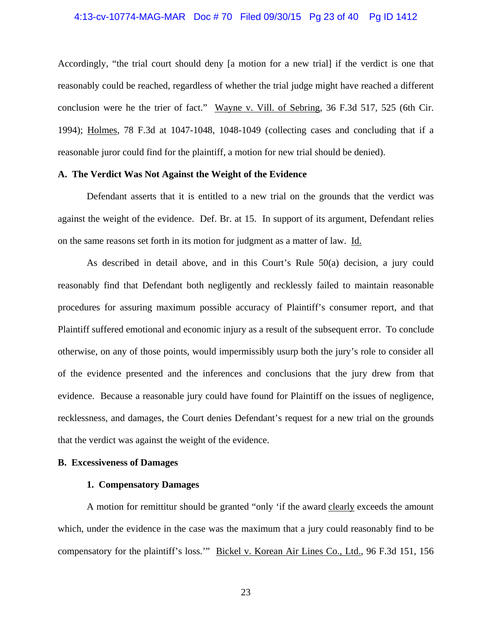# 4:13-cv-10774-MAG-MAR Doc # 70 Filed 09/30/15 Pg 23 of 40 Pg ID 1412

Accordingly, "the trial court should deny [a motion for a new trial] if the verdict is one that reasonably could be reached, regardless of whether the trial judge might have reached a different conclusion were he the trier of fact." Wayne v. Vill. of Sebring, 36 F.3d 517, 525 (6th Cir. 1994); Holmes, 78 F.3d at 1047-1048, 1048-1049 (collecting cases and concluding that if a reasonable juror could find for the plaintiff, a motion for new trial should be denied).

# **A. The Verdict Was Not Against the Weight of the Evidence**

Defendant asserts that it is entitled to a new trial on the grounds that the verdict was against the weight of the evidence. Def. Br. at 15. In support of its argument, Defendant relies on the same reasons set forth in its motion for judgment as a matter of law. Id.

 As described in detail above, and in this Court's Rule 50(a) decision, a jury could reasonably find that Defendant both negligently and recklessly failed to maintain reasonable procedures for assuring maximum possible accuracy of Plaintiff's consumer report, and that Plaintiff suffered emotional and economic injury as a result of the subsequent error. To conclude otherwise, on any of those points, would impermissibly usurp both the jury's role to consider all of the evidence presented and the inferences and conclusions that the jury drew from that evidence. Because a reasonable jury could have found for Plaintiff on the issues of negligence, recklessness, and damages, the Court denies Defendant's request for a new trial on the grounds that the verdict was against the weight of the evidence.

# **B. Excessiveness of Damages**

# **1. Compensatory Damages**

A motion for remittitur should be granted "only 'if the award clearly exceeds the amount which, under the evidence in the case was the maximum that a jury could reasonably find to be compensatory for the plaintiff's loss.'" Bickel v. Korean Air Lines Co., Ltd., 96 F.3d 151, 156

23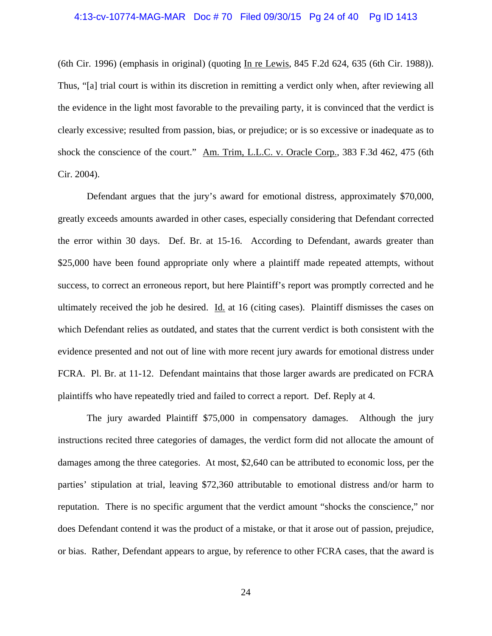## 4:13-cv-10774-MAG-MAR Doc # 70 Filed 09/30/15 Pg 24 of 40 Pg ID 1413

(6th Cir. 1996) (emphasis in original) (quoting In re Lewis, 845 F.2d 624, 635 (6th Cir. 1988)). Thus, "[a] trial court is within its discretion in remitting a verdict only when, after reviewing all the evidence in the light most favorable to the prevailing party, it is convinced that the verdict is clearly excessive; resulted from passion, bias, or prejudice; or is so excessive or inadequate as to shock the conscience of the court." Am. Trim, L.L.C. v. Oracle Corp., 383 F.3d 462, 475 (6th Cir. 2004).

 Defendant argues that the jury's award for emotional distress, approximately \$70,000, greatly exceeds amounts awarded in other cases, especially considering that Defendant corrected the error within 30 days. Def. Br. at 15-16. According to Defendant, awards greater than \$25,000 have been found appropriate only where a plaintiff made repeated attempts, without success, to correct an erroneous report, but here Plaintiff's report was promptly corrected and he ultimately received the job he desired. Id. at 16 (citing cases). Plaintiff dismisses the cases on which Defendant relies as outdated, and states that the current verdict is both consistent with the evidence presented and not out of line with more recent jury awards for emotional distress under FCRA. Pl. Br. at 11-12. Defendant maintains that those larger awards are predicated on FCRA plaintiffs who have repeatedly tried and failed to correct a report. Def. Reply at 4.

 The jury awarded Plaintiff \$75,000 in compensatory damages. Although the jury instructions recited three categories of damages, the verdict form did not allocate the amount of damages among the three categories. At most, \$2,640 can be attributed to economic loss, per the parties' stipulation at trial, leaving \$72,360 attributable to emotional distress and/or harm to reputation. There is no specific argument that the verdict amount "shocks the conscience," nor does Defendant contend it was the product of a mistake, or that it arose out of passion, prejudice, or bias. Rather, Defendant appears to argue, by reference to other FCRA cases, that the award is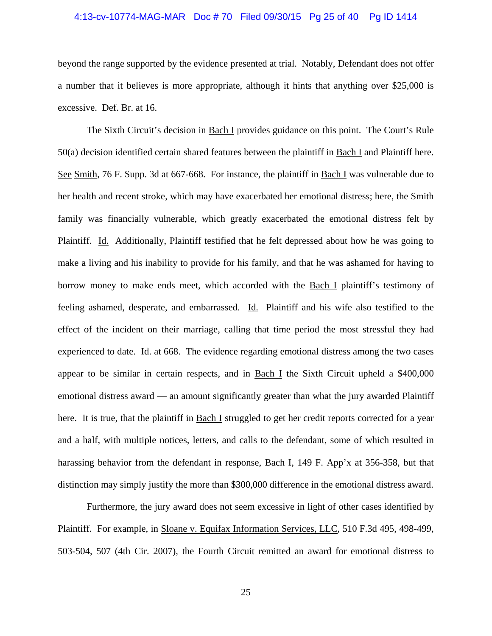# 4:13-cv-10774-MAG-MAR Doc # 70 Filed 09/30/15 Pg 25 of 40 Pg ID 1414

beyond the range supported by the evidence presented at trial. Notably, Defendant does not offer a number that it believes is more appropriate, although it hints that anything over \$25,000 is excessive. Def. Br. at 16.

 The Sixth Circuit's decision in Bach I provides guidance on this point. The Court's Rule 50(a) decision identified certain shared features between the plaintiff in Bach I and Plaintiff here. See Smith, 76 F. Supp. 3d at 667-668. For instance, the plaintiff in Bach I was vulnerable due to her health and recent stroke, which may have exacerbated her emotional distress; here, the Smith family was financially vulnerable, which greatly exacerbated the emotional distress felt by Plaintiff. Id. Additionally, Plaintiff testified that he felt depressed about how he was going to make a living and his inability to provide for his family, and that he was ashamed for having to borrow money to make ends meet, which accorded with the Bach I plaintiff's testimony of feeling ashamed, desperate, and embarrassed. Id. Plaintiff and his wife also testified to the effect of the incident on their marriage, calling that time period the most stressful they had experienced to date. Id. at 668. The evidence regarding emotional distress among the two cases appear to be similar in certain respects, and in Bach I the Sixth Circuit upheld a \$400,000 emotional distress award — an amount significantly greater than what the jury awarded Plaintiff here. It is true, that the plaintiff in Bach I struggled to get her credit reports corrected for a year and a half, with multiple notices, letters, and calls to the defendant, some of which resulted in harassing behavior from the defendant in response, Bach I, 149 F. App'x at 356-358, but that distinction may simply justify the more than \$300,000 difference in the emotional distress award.

 Furthermore, the jury award does not seem excessive in light of other cases identified by Plaintiff. For example, in Sloane v. Equifax Information Services, LLC, 510 F.3d 495, 498-499, 503-504, 507 (4th Cir. 2007), the Fourth Circuit remitted an award for emotional distress to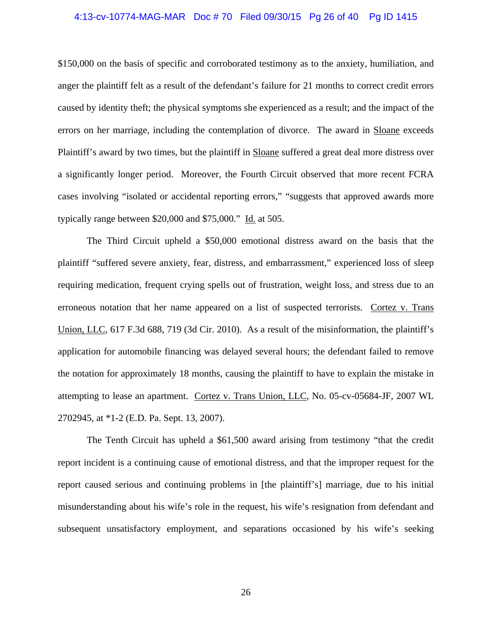# 4:13-cv-10774-MAG-MAR Doc # 70 Filed 09/30/15 Pg 26 of 40 Pg ID 1415

\$150,000 on the basis of specific and corroborated testimony as to the anxiety, humiliation, and anger the plaintiff felt as a result of the defendant's failure for 21 months to correct credit errors caused by identity theft; the physical symptoms she experienced as a result; and the impact of the errors on her marriage, including the contemplation of divorce. The award in Sloane exceeds Plaintiff's award by two times, but the plaintiff in Sloane suffered a great deal more distress over a significantly longer period. Moreover, the Fourth Circuit observed that more recent FCRA cases involving "isolated or accidental reporting errors," "suggests that approved awards more typically range between \$20,000 and \$75,000." Id. at 505.

 The Third Circuit upheld a \$50,000 emotional distress award on the basis that the plaintiff "suffered severe anxiety, fear, distress, and embarrassment," experienced loss of sleep requiring medication, frequent crying spells out of frustration, weight loss, and stress due to an erroneous notation that her name appeared on a list of suspected terrorists. Cortez v. Trans Union, LLC, 617 F.3d 688, 719 (3d Cir. 2010). As a result of the misinformation, the plaintiff's application for automobile financing was delayed several hours; the defendant failed to remove the notation for approximately 18 months, causing the plaintiff to have to explain the mistake in attempting to lease an apartment. Cortez v. Trans Union, LLC, No. 05-cv-05684-JF, 2007 WL 2702945, at \*1-2 (E.D. Pa. Sept. 13, 2007).

 The Tenth Circuit has upheld a \$61,500 award arising from testimony "that the credit report incident is a continuing cause of emotional distress, and that the improper request for the report caused serious and continuing problems in [the plaintiff's] marriage, due to his initial misunderstanding about his wife's role in the request, his wife's resignation from defendant and subsequent unsatisfactory employment, and separations occasioned by his wife's seeking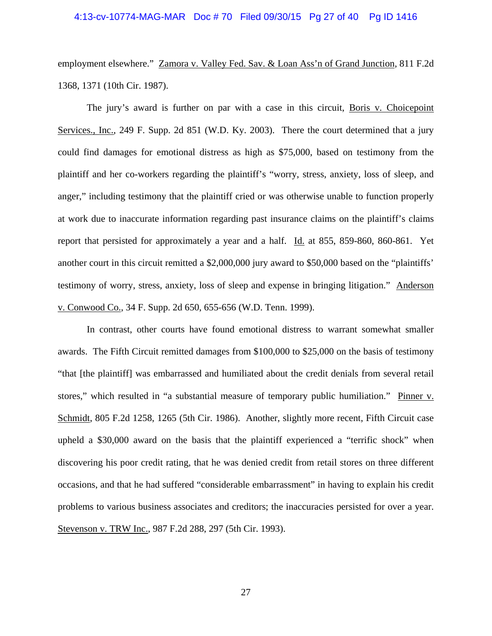# 4:13-cv-10774-MAG-MAR Doc # 70 Filed 09/30/15 Pg 27 of 40 Pg ID 1416

employment elsewhere." Zamora v. Valley Fed. Sav. & Loan Ass'n of Grand Junction, 811 F.2d 1368, 1371 (10th Cir. 1987).

 The jury's award is further on par with a case in this circuit, Boris v. Choicepoint Services., Inc., 249 F. Supp. 2d 851 (W.D. Ky. 2003). There the court determined that a jury could find damages for emotional distress as high as \$75,000, based on testimony from the plaintiff and her co-workers regarding the plaintiff's "worry, stress, anxiety, loss of sleep, and anger," including testimony that the plaintiff cried or was otherwise unable to function properly at work due to inaccurate information regarding past insurance claims on the plaintiff's claims report that persisted for approximately a year and a half. Id. at 855, 859-860, 860-861. Yet another court in this circuit remitted a \$2,000,000 jury award to \$50,000 based on the "plaintiffs' testimony of worry, stress, anxiety, loss of sleep and expense in bringing litigation." Anderson v. Conwood Co., 34 F. Supp. 2d 650, 655-656 (W.D. Tenn. 1999).

 In contrast, other courts have found emotional distress to warrant somewhat smaller awards. The Fifth Circuit remitted damages from \$100,000 to \$25,000 on the basis of testimony "that [the plaintiff] was embarrassed and humiliated about the credit denials from several retail stores," which resulted in "a substantial measure of temporary public humiliation." Pinner v. Schmidt, 805 F.2d 1258, 1265 (5th Cir. 1986). Another, slightly more recent, Fifth Circuit case upheld a \$30,000 award on the basis that the plaintiff experienced a "terrific shock" when discovering his poor credit rating, that he was denied credit from retail stores on three different occasions, and that he had suffered "considerable embarrassment" in having to explain his credit problems to various business associates and creditors; the inaccuracies persisted for over a year. Stevenson v. TRW Inc., 987 F.2d 288, 297 (5th Cir. 1993).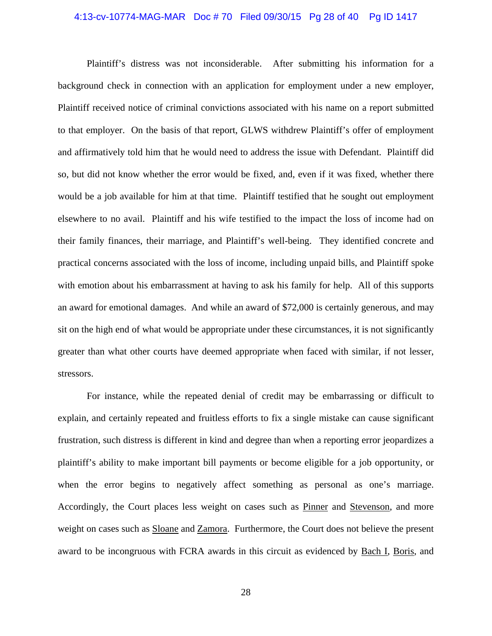# 4:13-cv-10774-MAG-MAR Doc # 70 Filed 09/30/15 Pg 28 of 40 Pg ID 1417

 Plaintiff's distress was not inconsiderable. After submitting his information for a background check in connection with an application for employment under a new employer, Plaintiff received notice of criminal convictions associated with his name on a report submitted to that employer. On the basis of that report, GLWS withdrew Plaintiff's offer of employment and affirmatively told him that he would need to address the issue with Defendant. Plaintiff did so, but did not know whether the error would be fixed, and, even if it was fixed, whether there would be a job available for him at that time. Plaintiff testified that he sought out employment elsewhere to no avail. Plaintiff and his wife testified to the impact the loss of income had on their family finances, their marriage, and Plaintiff's well-being. They identified concrete and practical concerns associated with the loss of income, including unpaid bills, and Plaintiff spoke with emotion about his embarrassment at having to ask his family for help. All of this supports an award for emotional damages. And while an award of \$72,000 is certainly generous, and may sit on the high end of what would be appropriate under these circumstances, it is not significantly greater than what other courts have deemed appropriate when faced with similar, if not lesser, stressors.

For instance, while the repeated denial of credit may be embarrassing or difficult to explain, and certainly repeated and fruitless efforts to fix a single mistake can cause significant frustration, such distress is different in kind and degree than when a reporting error jeopardizes a plaintiff's ability to make important bill payments or become eligible for a job opportunity, or when the error begins to negatively affect something as personal as one's marriage. Accordingly, the Court places less weight on cases such as Pinner and Stevenson, and more weight on cases such as Sloane and Zamora. Furthermore, the Court does not believe the present award to be incongruous with FCRA awards in this circuit as evidenced by Bach I, Boris, and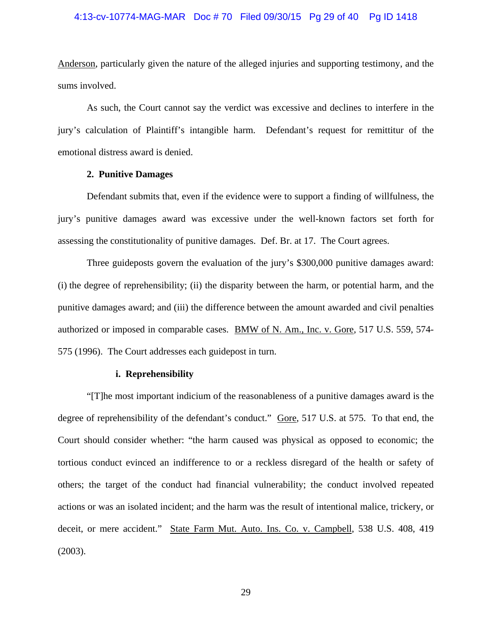# 4:13-cv-10774-MAG-MAR Doc # 70 Filed 09/30/15 Pg 29 of 40 Pg ID 1418

Anderson, particularly given the nature of the alleged injuries and supporting testimony, and the sums involved.

As such, the Court cannot say the verdict was excessive and declines to interfere in the jury's calculation of Plaintiff's intangible harm. Defendant's request for remittitur of the emotional distress award is denied.

# **2. Punitive Damages**

Defendant submits that, even if the evidence were to support a finding of willfulness, the jury's punitive damages award was excessive under the well-known factors set forth for assessing the constitutionality of punitive damages. Def. Br. at 17. The Court agrees.

Three guideposts govern the evaluation of the jury's \$300,000 punitive damages award: (i) the degree of reprehensibility; (ii) the disparity between the harm, or potential harm, and the punitive damages award; and (iii) the difference between the amount awarded and civil penalties authorized or imposed in comparable cases. BMW of N. Am., Inc. v. Gore, 517 U.S. 559, 574- 575 (1996). The Court addresses each guidepost in turn.

# **i. Reprehensibility**

"[T]he most important indicium of the reasonableness of a punitive damages award is the degree of reprehensibility of the defendant's conduct." Gore, 517 U.S. at 575. To that end, the Court should consider whether: "the harm caused was physical as opposed to economic; the tortious conduct evinced an indifference to or a reckless disregard of the health or safety of others; the target of the conduct had financial vulnerability; the conduct involved repeated actions or was an isolated incident; and the harm was the result of intentional malice, trickery, or deceit, or mere accident." State Farm Mut. Auto. Ins. Co. v. Campbell, 538 U.S. 408, 419 (2003).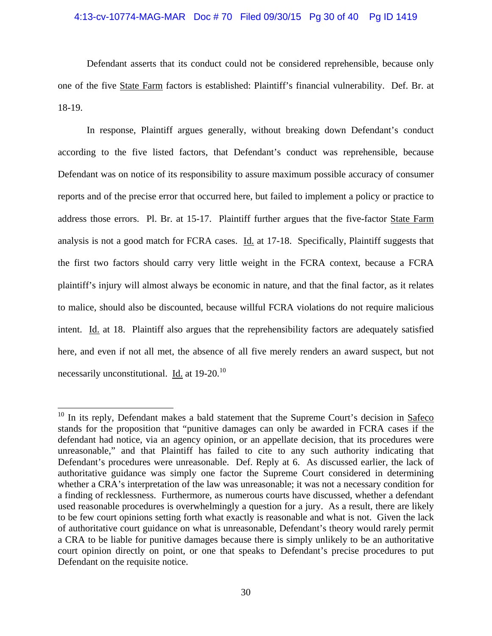# 4:13-cv-10774-MAG-MAR Doc # 70 Filed 09/30/15 Pg 30 of 40 Pg ID 1419

Defendant asserts that its conduct could not be considered reprehensible, because only one of the five State Farm factors is established: Plaintiff's financial vulnerability. Def. Br. at 18-19.

In response, Plaintiff argues generally, without breaking down Defendant's conduct according to the five listed factors, that Defendant's conduct was reprehensible, because Defendant was on notice of its responsibility to assure maximum possible accuracy of consumer reports and of the precise error that occurred here, but failed to implement a policy or practice to address those errors. Pl. Br. at 15-17. Plaintiff further argues that the five-factor State Farm analysis is not a good match for FCRA cases. Id. at 17-18. Specifically, Plaintiff suggests that the first two factors should carry very little weight in the FCRA context, because a FCRA plaintiff's injury will almost always be economic in nature, and that the final factor, as it relates to malice, should also be discounted, because willful FCRA violations do not require malicious intent. Id. at 18. Plaintiff also argues that the reprehensibility factors are adequately satisfied here, and even if not all met, the absence of all five merely renders an award suspect, but not necessarily unconstitutional. Id. at 19-20.<sup>10</sup>

 $\overline{a}$ 

 $10$  In its reply, Defendant makes a bald statement that the Supreme Court's decision in Safeco stands for the proposition that "punitive damages can only be awarded in FCRA cases if the defendant had notice, via an agency opinion, or an appellate decision, that its procedures were unreasonable," and that Plaintiff has failed to cite to any such authority indicating that Defendant's procedures were unreasonable. Def. Reply at 6. As discussed earlier, the lack of authoritative guidance was simply one factor the Supreme Court considered in determining whether a CRA's interpretation of the law was unreasonable; it was not a necessary condition for a finding of recklessness. Furthermore, as numerous courts have discussed, whether a defendant used reasonable procedures is overwhelmingly a question for a jury. As a result, there are likely to be few court opinions setting forth what exactly is reasonable and what is not. Given the lack of authoritative court guidance on what is unreasonable, Defendant's theory would rarely permit a CRA to be liable for punitive damages because there is simply unlikely to be an authoritative court opinion directly on point, or one that speaks to Defendant's precise procedures to put Defendant on the requisite notice.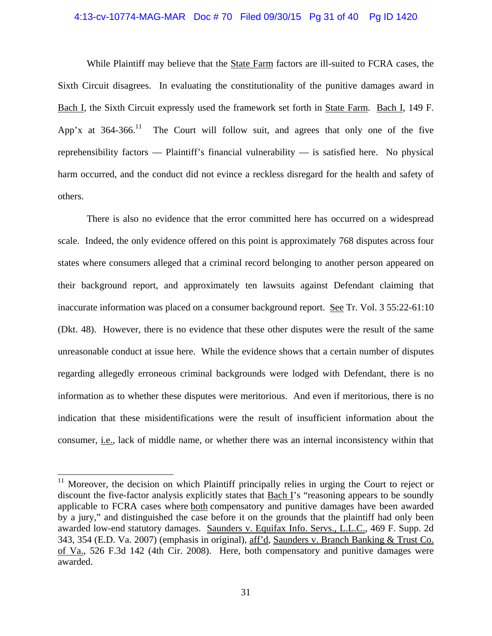# 4:13-cv-10774-MAG-MAR Doc # 70 Filed 09/30/15 Pg 31 of 40 Pg ID 1420

While Plaintiff may believe that the **State Farm** factors are ill-suited to FCRA cases, the Sixth Circuit disagrees. In evaluating the constitutionality of the punitive damages award in Bach I, the Sixth Circuit expressly used the framework set forth in State Farm. Bach I, 149 F. App'x at  $364-366$ <sup>11</sup>. The Court will follow suit, and agrees that only one of the five reprehensibility factors — Plaintiff's financial vulnerability — is satisfied here. No physical harm occurred, and the conduct did not evince a reckless disregard for the health and safety of others.

There is also no evidence that the error committed here has occurred on a widespread scale. Indeed, the only evidence offered on this point is approximately 768 disputes across four states where consumers alleged that a criminal record belonging to another person appeared on their background report, and approximately ten lawsuits against Defendant claiming that inaccurate information was placed on a consumer background report. See Tr. Vol. 3 55:22-61:10 (Dkt. 48). However, there is no evidence that these other disputes were the result of the same unreasonable conduct at issue here. While the evidence shows that a certain number of disputes regarding allegedly erroneous criminal backgrounds were lodged with Defendant, there is no information as to whether these disputes were meritorious. And even if meritorious, there is no indication that these misidentifications were the result of insufficient information about the consumer, i.e., lack of middle name, or whether there was an internal inconsistency within that

 $\overline{a}$ 

 $11$  Moreover, the decision on which Plaintiff principally relies in urging the Court to reject or discount the five-factor analysis explicitly states that Bach I's "reasoning appears to be soundly applicable to FCRA cases where both compensatory and punitive damages have been awarded by a jury," and distinguished the case before it on the grounds that the plaintiff had only been awarded low-end statutory damages. Saunders v. Equifax Info. Servs., L.L.C., 469 F. Supp. 2d 343, 354 (E.D. Va. 2007) (emphasis in original), aff'd, Saunders v. Branch Banking & Trust Co. of Va., 526 F.3d 142 (4th Cir. 2008). Here, both compensatory and punitive damages were awarded.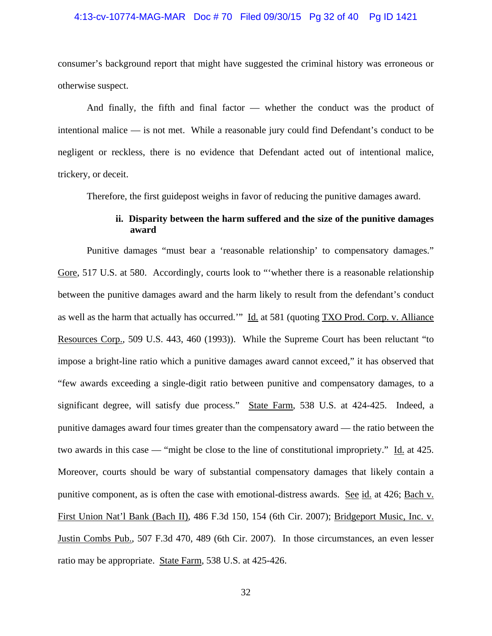# 4:13-cv-10774-MAG-MAR Doc # 70 Filed 09/30/15 Pg 32 of 40 Pg ID 1421

consumer's background report that might have suggested the criminal history was erroneous or otherwise suspect.

And finally, the fifth and final factor — whether the conduct was the product of intentional malice — is not met. While a reasonable jury could find Defendant's conduct to be negligent or reckless, there is no evidence that Defendant acted out of intentional malice, trickery, or deceit.

Therefore, the first guidepost weighs in favor of reducing the punitive damages award.

# **ii. Disparity between the harm suffered and the size of the punitive damages award**

Punitive damages "must bear a 'reasonable relationship' to compensatory damages." Gore, 517 U.S. at 580. Accordingly, courts look to "whether there is a reasonable relationship between the punitive damages award and the harm likely to result from the defendant's conduct as well as the harm that actually has occurred." Id. at 581 (quoting TXO Prod. Corp. v. Alliance Resources Corp., 509 U.S. 443, 460 (1993)). While the Supreme Court has been reluctant "to impose a bright-line ratio which a punitive damages award cannot exceed," it has observed that "few awards exceeding a single-digit ratio between punitive and compensatory damages, to a significant degree, will satisfy due process." State Farm, 538 U.S. at 424-425. Indeed, a punitive damages award four times greater than the compensatory award — the ratio between the two awards in this case — "might be close to the line of constitutional impropriety." Id. at 425. Moreover, courts should be wary of substantial compensatory damages that likely contain a punitive component, as is often the case with emotional-distress awards. See id. at 426; Bach v. First Union Nat'l Bank (Bach II), 486 F.3d 150, 154 (6th Cir. 2007); Bridgeport Music, Inc. v. Justin Combs Pub., 507 F.3d 470, 489 (6th Cir. 2007). In those circumstances, an even lesser ratio may be appropriate. State Farm, 538 U.S. at 425-426.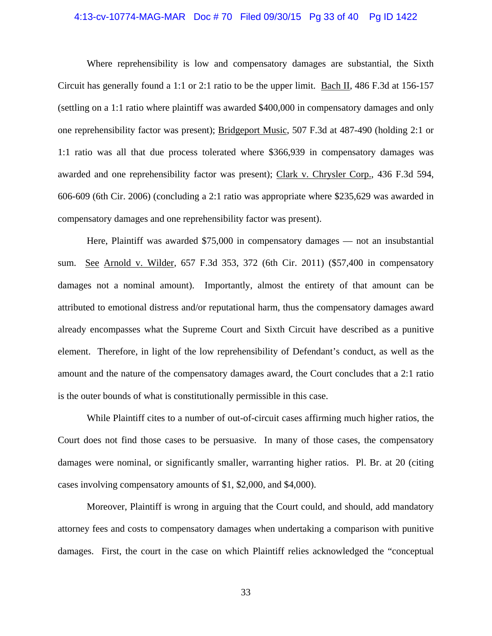# 4:13-cv-10774-MAG-MAR Doc # 70 Filed 09/30/15 Pg 33 of 40 Pg ID 1422

Where reprehensibility is low and compensatory damages are substantial, the Sixth Circuit has generally found a 1:1 or 2:1 ratio to be the upper limit. Bach II, 486 F.3d at 156-157 (settling on a 1:1 ratio where plaintiff was awarded \$400,000 in compensatory damages and only one reprehensibility factor was present); Bridgeport Music, 507 F.3d at 487-490 (holding 2:1 or 1:1 ratio was all that due process tolerated where \$366,939 in compensatory damages was awarded and one reprehensibility factor was present); Clark v. Chrysler Corp., 436 F.3d 594, 606-609 (6th Cir. 2006) (concluding a 2:1 ratio was appropriate where \$235,629 was awarded in compensatory damages and one reprehensibility factor was present).

Here, Plaintiff was awarded \$75,000 in compensatory damages — not an insubstantial sum. See Arnold v. Wilder, 657 F.3d 353, 372 (6th Cir. 2011) (\$57,400 in compensatory damages not a nominal amount). Importantly, almost the entirety of that amount can be attributed to emotional distress and/or reputational harm, thus the compensatory damages award already encompasses what the Supreme Court and Sixth Circuit have described as a punitive element. Therefore, in light of the low reprehensibility of Defendant's conduct, as well as the amount and the nature of the compensatory damages award, the Court concludes that a 2:1 ratio is the outer bounds of what is constitutionally permissible in this case.

While Plaintiff cites to a number of out-of-circuit cases affirming much higher ratios, the Court does not find those cases to be persuasive. In many of those cases, the compensatory damages were nominal, or significantly smaller, warranting higher ratios. Pl. Br. at 20 (citing cases involving compensatory amounts of \$1, \$2,000, and \$4,000).

Moreover, Plaintiff is wrong in arguing that the Court could, and should, add mandatory attorney fees and costs to compensatory damages when undertaking a comparison with punitive damages. First, the court in the case on which Plaintiff relies acknowledged the "conceptual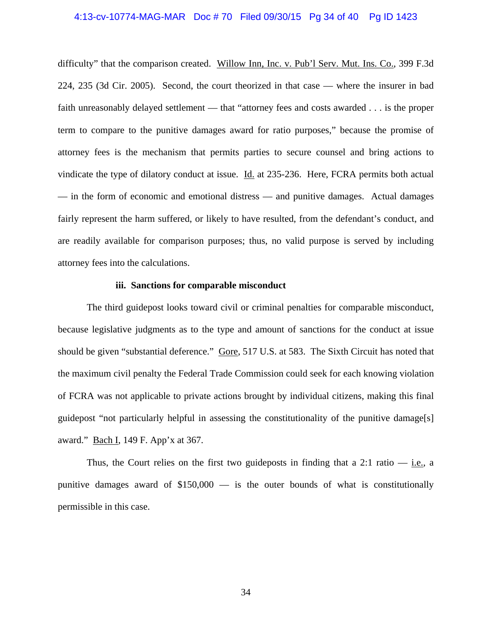# 4:13-cv-10774-MAG-MAR Doc # 70 Filed 09/30/15 Pg 34 of 40 Pg ID 1423

difficulty" that the comparison created. Willow Inn, Inc. v. Pub'l Serv. Mut. Ins. Co., 399 F.3d 224, 235 (3d Cir. 2005). Second, the court theorized in that case — where the insurer in bad faith unreasonably delayed settlement — that "attorney fees and costs awarded . . . is the proper term to compare to the punitive damages award for ratio purposes," because the promise of attorney fees is the mechanism that permits parties to secure counsel and bring actions to vindicate the type of dilatory conduct at issue. Id. at 235-236. Here, FCRA permits both actual — in the form of economic and emotional distress — and punitive damages. Actual damages fairly represent the harm suffered, or likely to have resulted, from the defendant's conduct, and are readily available for comparison purposes; thus, no valid purpose is served by including attorney fees into the calculations.

# **iii. Sanctions for comparable misconduct**

The third guidepost looks toward civil or criminal penalties for comparable misconduct, because legislative judgments as to the type and amount of sanctions for the conduct at issue should be given "substantial deference." Gore, 517 U.S. at 583. The Sixth Circuit has noted that the maximum civil penalty the Federal Trade Commission could seek for each knowing violation of FCRA was not applicable to private actions brought by individual citizens, making this final guidepost "not particularly helpful in assessing the constitutionality of the punitive damage[s] award." Bach I, 149 F. App'x at 367.

Thus, the Court relies on the first two guideposts in finding that a 2:1 ratio  $-$  i.e., a punitive damages award of \$150,000 — is the outer bounds of what is constitutionally permissible in this case.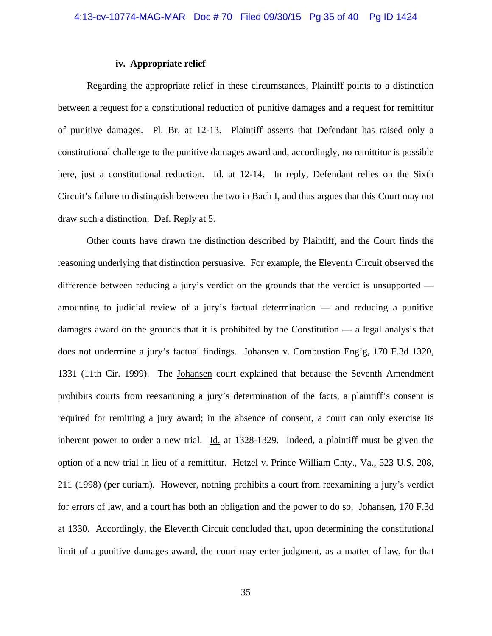# **iv. Appropriate relief**

Regarding the appropriate relief in these circumstances, Plaintiff points to a distinction between a request for a constitutional reduction of punitive damages and a request for remittitur of punitive damages. Pl. Br. at 12-13. Plaintiff asserts that Defendant has raised only a constitutional challenge to the punitive damages award and, accordingly, no remittitur is possible here, just a constitutional reduction. Id. at 12-14. In reply, Defendant relies on the Sixth Circuit's failure to distinguish between the two in Bach I, and thus argues that this Court may not draw such a distinction. Def. Reply at 5.

Other courts have drawn the distinction described by Plaintiff, and the Court finds the reasoning underlying that distinction persuasive. For example, the Eleventh Circuit observed the difference between reducing a jury's verdict on the grounds that the verdict is unsupported amounting to judicial review of a jury's factual determination — and reducing a punitive damages award on the grounds that it is prohibited by the Constitution — a legal analysis that does not undermine a jury's factual findings. Johansen v. Combustion Eng'g, 170 F.3d 1320, 1331 (11th Cir. 1999). The Johansen court explained that because the Seventh Amendment prohibits courts from reexamining a jury's determination of the facts, a plaintiff's consent is required for remitting a jury award; in the absence of consent, a court can only exercise its inherent power to order a new trial. Id. at 1328-1329. Indeed, a plaintiff must be given the option of a new trial in lieu of a remittitur. Hetzel v. Prince William Cnty., Va., 523 U.S. 208, 211 (1998) (per curiam). However, nothing prohibits a court from reexamining a jury's verdict for errors of law, and a court has both an obligation and the power to do so. Johansen, 170 F.3d at 1330. Accordingly, the Eleventh Circuit concluded that, upon determining the constitutional limit of a punitive damages award, the court may enter judgment, as a matter of law, for that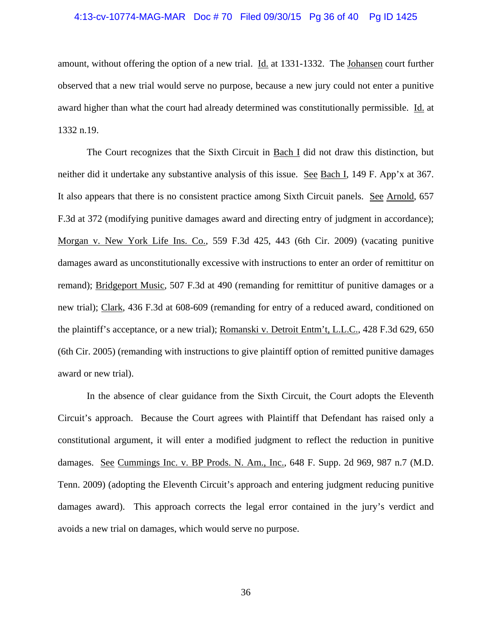# 4:13-cv-10774-MAG-MAR Doc # 70 Filed 09/30/15 Pg 36 of 40 Pg ID 1425

amount, without offering the option of a new trial. Id. at 1331-1332. The Johansen court further observed that a new trial would serve no purpose, because a new jury could not enter a punitive award higher than what the court had already determined was constitutionally permissible. Id. at 1332 n.19.

The Court recognizes that the Sixth Circuit in Bach I did not draw this distinction, but neither did it undertake any substantive analysis of this issue. See Bach I, 149 F. App'x at 367. It also appears that there is no consistent practice among Sixth Circuit panels. See Arnold, 657 F.3d at 372 (modifying punitive damages award and directing entry of judgment in accordance); Morgan v. New York Life Ins. Co., 559 F.3d 425, 443 (6th Cir. 2009) (vacating punitive damages award as unconstitutionally excessive with instructions to enter an order of remittitur on remand); Bridgeport Music, 507 F.3d at 490 (remanding for remittitur of punitive damages or a new trial); Clark, 436 F.3d at 608-609 (remanding for entry of a reduced award, conditioned on the plaintiff's acceptance, or a new trial); Romanski v. Detroit Entm't, L.L.C., 428 F.3d 629, 650 (6th Cir. 2005) (remanding with instructions to give plaintiff option of remitted punitive damages award or new trial).

In the absence of clear guidance from the Sixth Circuit, the Court adopts the Eleventh Circuit's approach. Because the Court agrees with Plaintiff that Defendant has raised only a constitutional argument, it will enter a modified judgment to reflect the reduction in punitive damages. See Cummings Inc. v. BP Prods. N. Am., Inc., 648 F. Supp. 2d 969, 987 n.7 (M.D. Tenn. 2009) (adopting the Eleventh Circuit's approach and entering judgment reducing punitive damages award). This approach corrects the legal error contained in the jury's verdict and avoids a new trial on damages, which would serve no purpose.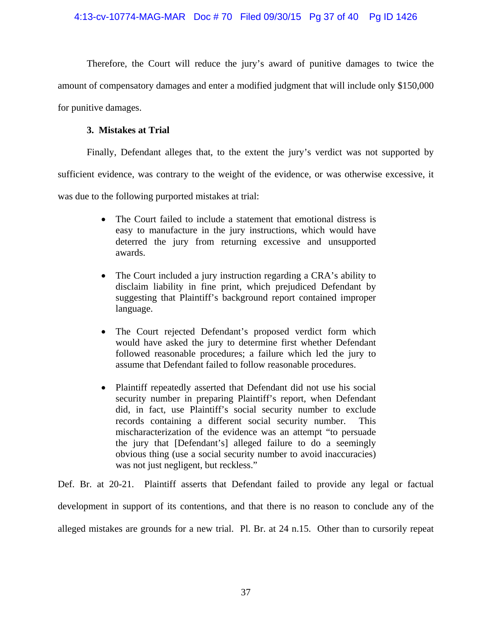Therefore, the Court will reduce the jury's award of punitive damages to twice the amount of compensatory damages and enter a modified judgment that will include only \$150,000 for punitive damages.

# **3. Mistakes at Trial**

Finally, Defendant alleges that, to the extent the jury's verdict was not supported by

sufficient evidence, was contrary to the weight of the evidence, or was otherwise excessive, it

was due to the following purported mistakes at trial:

- The Court failed to include a statement that emotional distress is easy to manufacture in the jury instructions, which would have deterred the jury from returning excessive and unsupported awards.
- The Court included a jury instruction regarding a CRA's ability to disclaim liability in fine print, which prejudiced Defendant by suggesting that Plaintiff's background report contained improper language.
- The Court rejected Defendant's proposed verdict form which would have asked the jury to determine first whether Defendant followed reasonable procedures; a failure which led the jury to assume that Defendant failed to follow reasonable procedures.
- Plaintiff repeatedly asserted that Defendant did not use his social security number in preparing Plaintiff's report, when Defendant did, in fact, use Plaintiff's social security number to exclude records containing a different social security number. This mischaracterization of the evidence was an attempt "to persuade the jury that [Defendant's] alleged failure to do a seemingly obvious thing (use a social security number to avoid inaccuracies) was not just negligent, but reckless."

Def. Br. at 20-21. Plaintiff asserts that Defendant failed to provide any legal or factual development in support of its contentions, and that there is no reason to conclude any of the alleged mistakes are grounds for a new trial. Pl. Br. at 24 n.15. Other than to cursorily repeat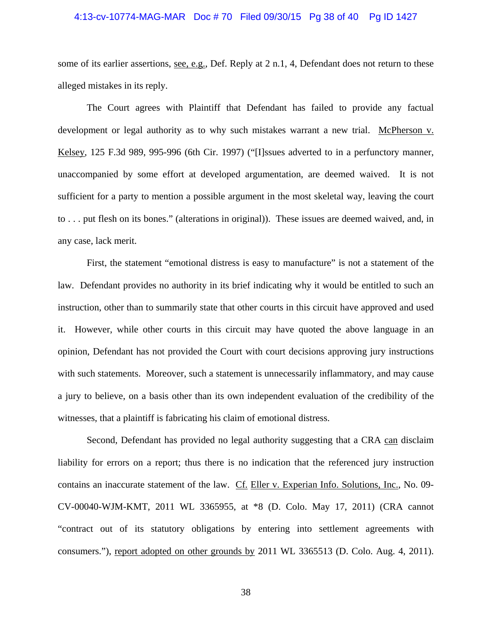## 4:13-cv-10774-MAG-MAR Doc # 70 Filed 09/30/15 Pg 38 of 40 Pg ID 1427

some of its earlier assertions, see, e.g., Def. Reply at 2 n.1, 4, Defendant does not return to these alleged mistakes in its reply.

 The Court agrees with Plaintiff that Defendant has failed to provide any factual development or legal authority as to why such mistakes warrant a new trial. McPherson v. Kelsey, 125 F.3d 989, 995-996 (6th Cir. 1997) ("[I]ssues adverted to in a perfunctory manner, unaccompanied by some effort at developed argumentation, are deemed waived. It is not sufficient for a party to mention a possible argument in the most skeletal way, leaving the court to . . . put flesh on its bones." (alterations in original)). These issues are deemed waived, and, in any case, lack merit.

First, the statement "emotional distress is easy to manufacture" is not a statement of the law. Defendant provides no authority in its brief indicating why it would be entitled to such an instruction, other than to summarily state that other courts in this circuit have approved and used it. However, while other courts in this circuit may have quoted the above language in an opinion, Defendant has not provided the Court with court decisions approving jury instructions with such statements. Moreover, such a statement is unnecessarily inflammatory, and may cause a jury to believe, on a basis other than its own independent evaluation of the credibility of the witnesses, that a plaintiff is fabricating his claim of emotional distress.

 Second, Defendant has provided no legal authority suggesting that a CRA can disclaim liability for errors on a report; thus there is no indication that the referenced jury instruction contains an inaccurate statement of the law. Cf. Eller v. Experian Info. Solutions, Inc., No. 09- CV-00040-WJM-KMT, 2011 WL 3365955, at \*8 (D. Colo. May 17, 2011) (CRA cannot "contract out of its statutory obligations by entering into settlement agreements with consumers."), report adopted on other grounds by 2011 WL 3365513 (D. Colo. Aug. 4, 2011).

38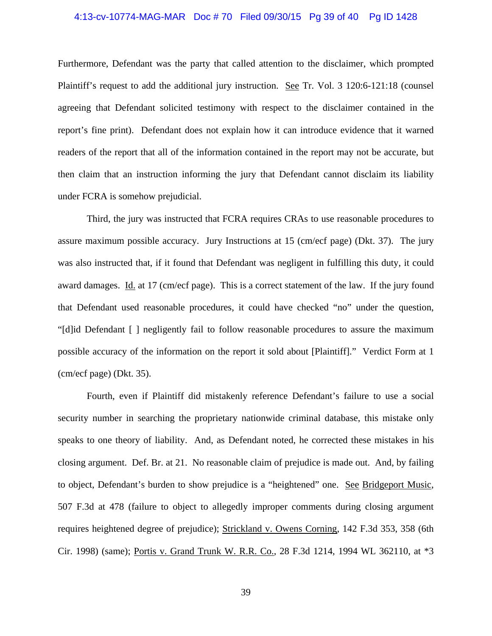# 4:13-cv-10774-MAG-MAR Doc # 70 Filed 09/30/15 Pg 39 of 40 Pg ID 1428

Furthermore, Defendant was the party that called attention to the disclaimer, which prompted Plaintiff's request to add the additional jury instruction. See Tr. Vol. 3 120:6-121:18 (counsel agreeing that Defendant solicited testimony with respect to the disclaimer contained in the report's fine print). Defendant does not explain how it can introduce evidence that it warned readers of the report that all of the information contained in the report may not be accurate, but then claim that an instruction informing the jury that Defendant cannot disclaim its liability under FCRA is somehow prejudicial.

 Third, the jury was instructed that FCRA requires CRAs to use reasonable procedures to assure maximum possible accuracy. Jury Instructions at 15 (cm/ecf page) (Dkt. 37). The jury was also instructed that, if it found that Defendant was negligent in fulfilling this duty, it could award damages. Id. at 17 (cm/ecf page). This is a correct statement of the law. If the jury found that Defendant used reasonable procedures, it could have checked "no" under the question, "[d]id Defendant [ ] negligently fail to follow reasonable procedures to assure the maximum possible accuracy of the information on the report it sold about [Plaintiff]." Verdict Form at 1 (cm/ecf page) (Dkt. 35).

 Fourth, even if Plaintiff did mistakenly reference Defendant's failure to use a social security number in searching the proprietary nationwide criminal database, this mistake only speaks to one theory of liability. And, as Defendant noted, he corrected these mistakes in his closing argument. Def. Br. at 21. No reasonable claim of prejudice is made out. And, by failing to object, Defendant's burden to show prejudice is a "heightened" one. See Bridgeport Music, 507 F.3d at 478 (failure to object to allegedly improper comments during closing argument requires heightened degree of prejudice); Strickland v. Owens Corning, 142 F.3d 353, 358 (6th Cir. 1998) (same); Portis v. Grand Trunk W. R.R. Co., 28 F.3d 1214, 1994 WL 362110, at \*3